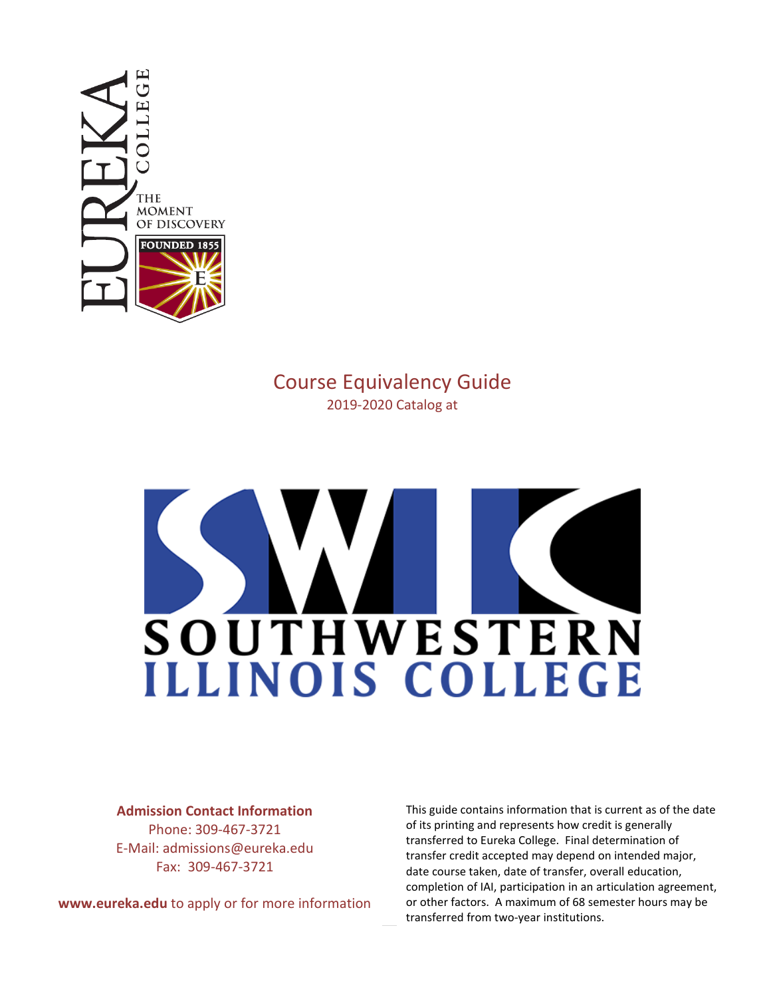

# Course Equivalency Guide 2019-2020 Catalog at

# **SOUTHWESTERN** ILLINOIS COLLEGE

#### **Admission Contact Information**

Phone: 309-467-3721 E-Mail: admissions@eureka.edu Fax: 309-467-3721

**www.eureka.edu** to apply or for more information

This guide contains information that is current as of the date of its printing and represents how credit is generally transferred to Eureka College. Final determination of transfer credit accepted may depend on intended major, date course taken, date of transfer, overall education, completion of IAI, participation in an articulation agreement, or other factors. A maximum of 68 semester hours may be transferred from two-year institutions.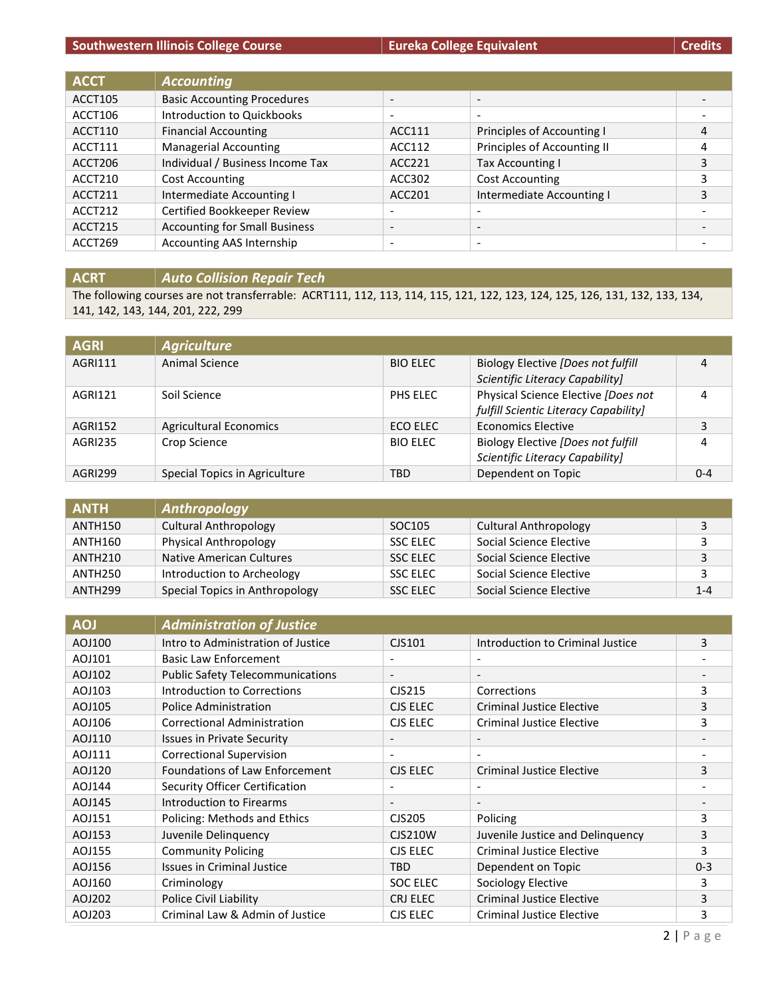## **Southwestern Illinois College Course Eureka College Equivalent**

|  | <b>Credits</b> |
|--|----------------|
|  |                |

| <b>ACCT</b>    | <b>Accounting</b>                    |                          |                             |   |
|----------------|--------------------------------------|--------------------------|-----------------------------|---|
| <b>ACCT105</b> | <b>Basic Accounting Procedures</b>   | $\overline{\phantom{a}}$ | $\overline{\phantom{a}}$    |   |
| ACCT106        | Introduction to Quickbooks           | $\overline{\phantom{a}}$ | $\overline{\phantom{a}}$    |   |
| ACCT110        | <b>Financial Accounting</b>          | ACC111                   | Principles of Accounting I  | 4 |
| ACCT111        | <b>Managerial Accounting</b>         | ACC112                   | Principles of Accounting II | 4 |
| ACCT206        | Individual / Business Income Tax     | ACC221                   | Tax Accounting I            | 3 |
| ACCT210        | <b>Cost Accounting</b>               | ACC302                   | Cost Accounting             | 3 |
| ACCT211        | Intermediate Accounting I            | ACC201                   | Intermediate Accounting I   | 3 |
| ACCT212        | Certified Bookkeeper Review          | $\overline{\phantom{a}}$ | $\overline{\phantom{0}}$    |   |
| ACCT215        | <b>Accounting for Small Business</b> | $\overline{\phantom{a}}$ | $\overline{\phantom{0}}$    |   |
| ACCT269        | Accounting AAS Internship            | $\overline{\phantom{0}}$ | $\overline{\phantom{0}}$    |   |

**ACRT** *Auto Collision Repair Tech*

The following courses are not transferrable: ACRT111, 112, 113, 114, 115, 121, 122, 123, 124, 125, 126, 131, 132, 133, 134, 141, 142, 143, 144, 201, 222, 299

| <b>AGRI</b>    | <b>Agriculture</b>            |                 |                                                                              |         |
|----------------|-------------------------------|-----------------|------------------------------------------------------------------------------|---------|
| AGRI111        | Animal Science                | <b>BIO ELEC</b> | Biology Elective [Does not fulfill<br>Scientific Literacy Capability]        | 4       |
| AGRI121        | Soil Science                  | PHS ELEC        | Physical Science Elective [Does not<br>fulfill Scientic Literacy Capability] | 4       |
| AGRI152        | <b>Agricultural Economics</b> | ECO ELEC        | Economics Elective                                                           | 3       |
| <b>AGRI235</b> | Crop Science                  | <b>BIO ELEC</b> | Biology Elective (Does not fulfill<br>Scientific Literacy Capability]        | 4       |
| AGRI299        | Special Topics in Agriculture | <b>TBD</b>      | Dependent on Topic                                                           | $0 - 4$ |

| <b>ANTH</b>         | Anthropology                   |                 |                              |         |
|---------------------|--------------------------------|-----------------|------------------------------|---------|
| ANTH150             | Cultural Anthropology          | SOC105          | <b>Cultural Anthropology</b> |         |
| ANTH160             | <b>Physical Anthropology</b>   | <b>SSC ELEC</b> | Social Science Elective      |         |
| ANTH <sub>210</sub> | Native American Cultures       | <b>SSC ELEC</b> | Social Science Elective      |         |
| ANTH250             | Introduction to Archeology     | <b>SSC ELEC</b> | Social Science Elective      |         |
| ANTH <sub>299</sub> | Special Topics in Anthropology | <b>SSC ELEC</b> | Social Science Elective      | $1 - 4$ |

| <b>AOJ</b> | <b>Administration of Justice</b>        |                          |                                  |         |
|------------|-----------------------------------------|--------------------------|----------------------------------|---------|
| AOJ100     | Intro to Administration of Justice      | CJS101                   | Introduction to Criminal Justice | 3       |
| AOJ101     | <b>Basic Law Enforcement</b>            | $\overline{\phantom{0}}$ |                                  |         |
| AOJ102     | <b>Public Safety Telecommunications</b> | $\overline{\phantom{a}}$ | $\overline{\phantom{a}}$         |         |
| AOJ103     | Introduction to Corrections             | CJS215                   | Corrections                      | 3       |
| AOJ105     | Police Administration                   | CJS ELEC                 | Criminal Justice Elective        | 3       |
| AOJ106     | Correctional Administration             | CJS ELEC                 | <b>Criminal Justice Elective</b> | 3       |
| AOJ110     | <b>Issues in Private Security</b>       | $\overline{\phantom{a}}$ | $\overline{\phantom{a}}$         |         |
| AOJ111     | <b>Correctional Supervision</b>         | $\overline{\phantom{a}}$ | $\overline{\phantom{0}}$         |         |
| AOJ120     | <b>Foundations of Law Enforcement</b>   | CJS ELEC                 | <b>Criminal Justice Elective</b> | 3       |
| AOJ144     | Security Officer Certification          | $\overline{\phantom{a}}$ |                                  |         |
| AOJ145     | <b>Introduction to Firearms</b>         | $\overline{\phantom{a}}$ | $\overline{\phantom{a}}$         |         |
| AOJ151     | Policing: Methods and Ethics            | CJS205                   | Policing                         | 3       |
| AOJ153     | Juvenile Delinquency                    | <b>CJS210W</b>           | Juvenile Justice and Delinquency | 3       |
| AOJ155     | <b>Community Policing</b>               | CJS ELEC                 | <b>Criminal Justice Elective</b> | 3       |
| AOJ156     | <b>Issues in Criminal Justice</b>       | <b>TBD</b>               | Dependent on Topic               | $0 - 3$ |
| AOJ160     | Criminology                             | SOC ELEC                 | Sociology Elective               | 3       |
| AOJ202     | Police Civil Liability                  | CRJ ELEC                 | <b>Criminal Justice Elective</b> | 3       |
| AOJ203     | Criminal Law & Admin of Justice         | CJS ELEC                 | <b>Criminal Justice Elective</b> | 3       |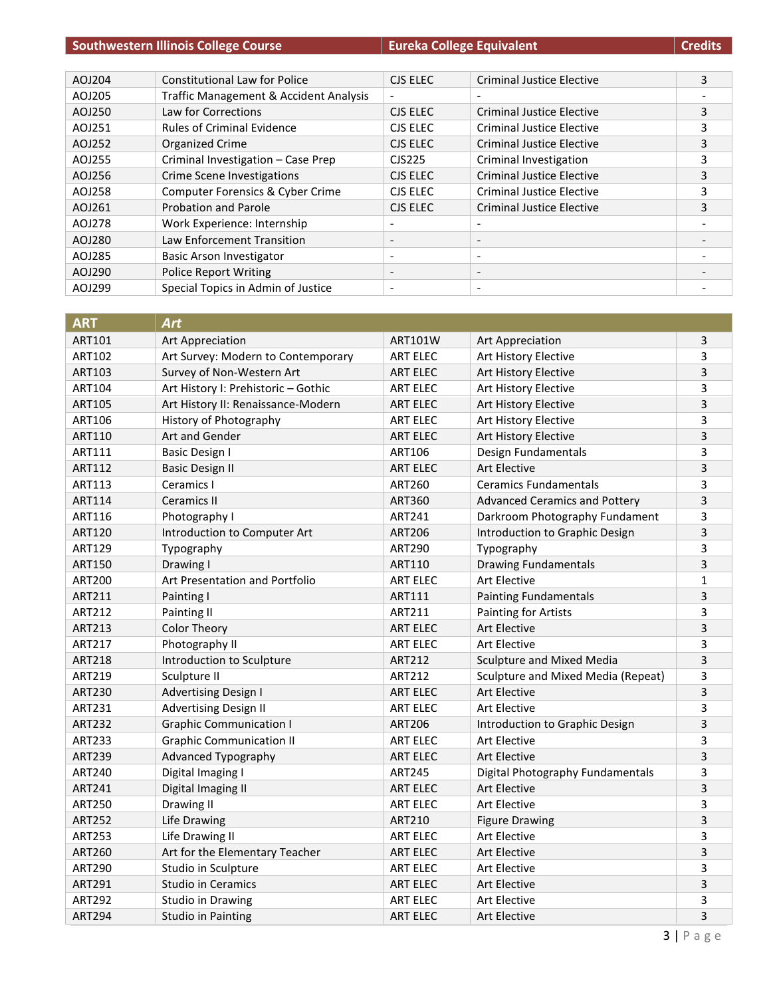|        | <b>Southwestern Illinois College Course</b> |                          | <b>Eureka College Equivalent</b> | <b>Credits</b> |
|--------|---------------------------------------------|--------------------------|----------------------------------|----------------|
|        |                                             |                          |                                  |                |
| AOJ204 | <b>Constitutional Law for Police</b>        | CJS ELEC                 | <b>Criminal Justice Elective</b> | 3              |
| AOJ205 | Traffic Management & Accident Analysis      | $\overline{\phantom{a}}$ |                                  |                |
| AOJ250 | Law for Corrections                         | CJS ELEC                 | Criminal Justice Elective        | 3              |
| AOJ251 | <b>Rules of Criminal Evidence</b>           | CJS ELEC                 | <b>Criminal Justice Elective</b> | 3              |
| AOJ252 | Organized Crime                             | CJS ELEC                 | Criminal Justice Elective        | 3              |
| AOJ255 | Criminal Investigation - Case Prep          | CJS225                   | Criminal Investigation           | 3              |
| AOJ256 | <b>Crime Scene Investigations</b>           | CJS ELEC                 | <b>Criminal Justice Elective</b> | 3              |
| AOJ258 | Computer Forensics & Cyber Crime            | CJS ELEC                 | <b>Criminal Justice Elective</b> | 3              |
| AOJ261 | Probation and Parole                        | CJS ELEC                 | <b>Criminal Justice Elective</b> | 3              |
| AOJ278 | Work Experience: Internship                 | $\overline{\phantom{0}}$ |                                  |                |
| AOJ280 | Law Enforcement Transition                  | $\overline{\phantom{a}}$ | $\overline{\phantom{a}}$         |                |
| AOJ285 | Basic Arson Investigator                    | $\overline{\phantom{a}}$ | $\overline{\phantom{a}}$         |                |
| AOJ290 | <b>Police Report Writing</b>                | $\overline{\phantom{a}}$ | $\overline{\phantom{a}}$         |                |
| AOJ299 | Special Topics in Admin of Justice          |                          | $\overline{\phantom{a}}$         |                |

| <b>ART</b>    | <b>Art</b>                          |                 |                                      |              |
|---------------|-------------------------------------|-----------------|--------------------------------------|--------------|
| ART101        | Art Appreciation                    | <b>ART101W</b>  | Art Appreciation                     | 3            |
| ART102        | Art Survey: Modern to Contemporary  | <b>ART ELEC</b> | Art History Elective                 | 3            |
| ART103        | Survey of Non-Western Art           | <b>ART ELEC</b> | Art History Elective                 | 3            |
| <b>ART104</b> | Art History I: Prehistoric - Gothic | <b>ART ELEC</b> | Art History Elective                 | 3            |
| <b>ART105</b> | Art History II: Renaissance-Modern  | <b>ART ELEC</b> | Art History Elective                 | 3            |
| ART106        | History of Photography              | <b>ART ELEC</b> | Art History Elective                 | 3            |
| ART110        | Art and Gender                      | <b>ART ELEC</b> | Art History Elective                 | 3            |
| ART111        | <b>Basic Design I</b>               | ART106          | Design Fundamentals                  | 3            |
| ART112        | <b>Basic Design II</b>              | <b>ART ELEC</b> | <b>Art Elective</b>                  | 3            |
| ART113        | Ceramics I                          | <b>ART260</b>   | <b>Ceramics Fundamentals</b>         | 3            |
| <b>ART114</b> | <b>Ceramics II</b>                  | ART360          | <b>Advanced Ceramics and Pottery</b> | 3            |
| ART116        | Photography I                       | <b>ART241</b>   | Darkroom Photography Fundament       | 3            |
| <b>ART120</b> | Introduction to Computer Art        | <b>ART206</b>   | Introduction to Graphic Design       | 3            |
| <b>ART129</b> | Typography                          | <b>ART290</b>   | Typography                           | 3            |
| ART150        | Drawing I                           | ART110          | <b>Drawing Fundamentals</b>          | 3            |
| <b>ART200</b> | Art Presentation and Portfolio      | <b>ART ELEC</b> | Art Elective                         | $\mathbf{1}$ |
| ART211        | Painting I                          | ART111          | <b>Painting Fundamentals</b>         | 3            |
| <b>ART212</b> | Painting II                         | ART211          | <b>Painting for Artists</b>          | 3            |
| ART213        | <b>Color Theory</b>                 | <b>ART ELEC</b> | <b>Art Elective</b>                  | 3            |
| <b>ART217</b> | Photography II                      | <b>ART ELEC</b> | <b>Art Elective</b>                  | 3            |
| <b>ART218</b> | Introduction to Sculpture           | <b>ART212</b>   | Sculpture and Mixed Media            | 3            |
| <b>ART219</b> | Sculpture II                        | <b>ART212</b>   | Sculpture and Mixed Media (Repeat)   | 3            |
| <b>ART230</b> | <b>Advertising Design I</b>         | <b>ART ELEC</b> | <b>Art Elective</b>                  | 3            |
| ART231        | <b>Advertising Design II</b>        | <b>ART ELEC</b> | <b>Art Elective</b>                  | 3            |
| <b>ART232</b> | <b>Graphic Communication I</b>      | <b>ART206</b>   | Introduction to Graphic Design       | 3            |
| <b>ART233</b> | <b>Graphic Communication II</b>     | <b>ART ELEC</b> | Art Elective                         | 3            |
| <b>ART239</b> | Advanced Typography                 | <b>ART ELEC</b> | <b>Art Elective</b>                  | 3            |
| <b>ART240</b> | Digital Imaging I                   | <b>ART245</b>   | Digital Photography Fundamentals     | 3            |
| <b>ART241</b> | Digital Imaging II                  | <b>ART ELEC</b> | <b>Art Elective</b>                  | 3            |
| <b>ART250</b> | Drawing II                          | <b>ART ELEC</b> | <b>Art Elective</b>                  | 3            |
| <b>ART252</b> | Life Drawing                        | ART210          | <b>Figure Drawing</b>                | 3            |
| <b>ART253</b> | Life Drawing II                     | <b>ART ELEC</b> | <b>Art Elective</b>                  | 3            |
| <b>ART260</b> | Art for the Elementary Teacher      | <b>ART ELEC</b> | Art Elective                         | 3            |
| <b>ART290</b> | Studio in Sculpture                 | <b>ART ELEC</b> | <b>Art Elective</b>                  | 3            |
| ART291        | <b>Studio in Ceramics</b>           | <b>ART ELEC</b> | Art Elective                         | 3            |
| <b>ART292</b> | Studio in Drawing                   | <b>ART ELEC</b> | <b>Art Elective</b>                  | 3            |
| <b>ART294</b> | Studio in Painting                  | <b>ART ELEC</b> | <b>Art Elective</b>                  | 3            |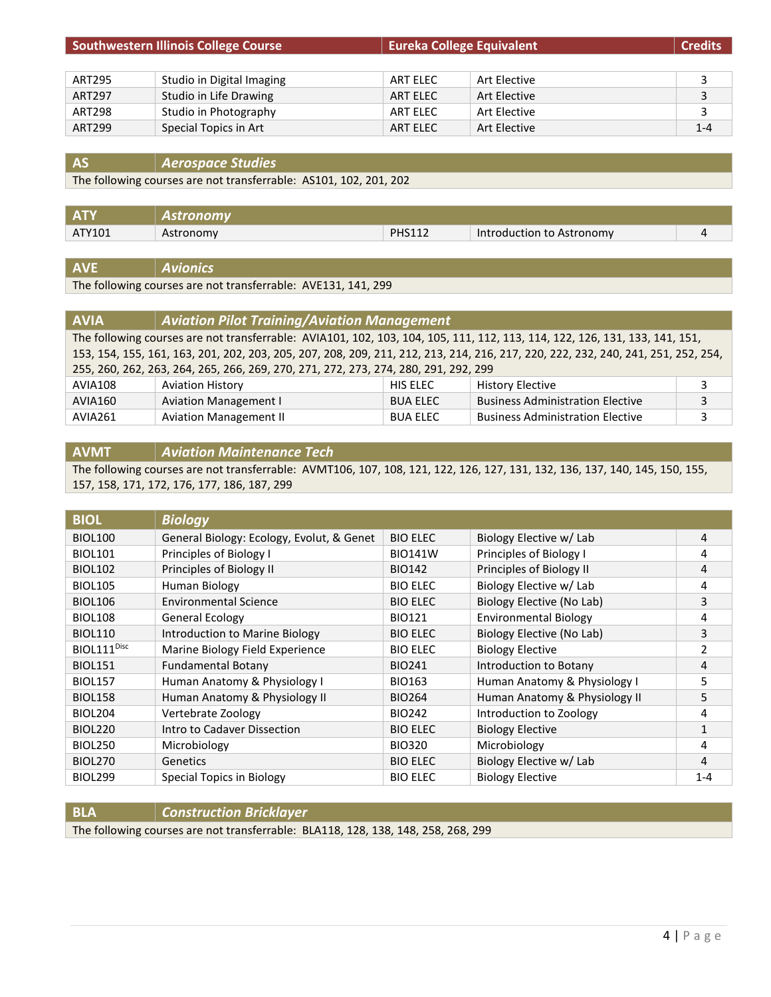| <b>Southwestern Illinois College Course</b> |                           | <b>Eureka College Equivalent</b> |              | <b>Credits</b> |
|---------------------------------------------|---------------------------|----------------------------------|--------------|----------------|
|                                             |                           |                                  |              |                |
| <b>ART295</b>                               | Studio in Digital Imaging | ART ELEC                         | Art Elective | 3              |
| <b>ART297</b>                               | Studio in Life Drawing    | ART ELEC                         | Art Elective | 3              |
| ART298                                      | Studio in Photography     | ART ELEC                         | Art Elective | 3              |
| ART299                                      | Special Topics in Art     | ART ELEC                         | Art Elective | $1 - 4$        |

**AS** *Aerospace Studies*

The following courses are not transferrable: AS101, 102, 201, 202

|        | tronomv   |               |                           |  |
|--------|-----------|---------------|---------------------------|--|
| ATY101 | Astronomv | <b>PHS112</b> | Introduction to Astronomy |  |
|        |           |               |                           |  |

**AVE** *Avionics*

The following courses are not transferrable: AVE131, 141, 299

| <b>AVIA</b>                                                                                                                 | <b>Aviation Pilot Training/Aviation Management</b>                                                                                |                 |                                         |   |
|-----------------------------------------------------------------------------------------------------------------------------|-----------------------------------------------------------------------------------------------------------------------------------|-----------------|-----------------------------------------|---|
| The following courses are not transferrable: AVIA101, 102, 103, 104, 105, 111, 112, 113, 114, 122, 126, 131, 133, 141, 151, |                                                                                                                                   |                 |                                         |   |
|                                                                                                                             | 153, 154, 155, 161, 163, 201, 202, 203, 205, 207, 208, 209, 211, 212, 213, 214, 216, 217, 220, 222, 232, 240, 241, 251, 252, 254, |                 |                                         |   |
|                                                                                                                             | 255, 260, 262, 263, 264, 265, 266, 269, 270, 271, 272, 273, 274, 280, 291, 292, 299                                               |                 |                                         |   |
| <b>AVIA108</b>                                                                                                              | <b>Aviation History</b>                                                                                                           | HIS ELEC        | <b>History Elective</b>                 |   |
| AVIA160                                                                                                                     | <b>Aviation Management I</b>                                                                                                      | <b>BUA ELEC</b> | <b>Business Administration Elective</b> | 3 |
| AVIA261                                                                                                                     | <b>Aviation Management II</b>                                                                                                     | <b>BUA ELEC</b> | <b>Business Administration Elective</b> |   |

#### **AVMT** *Aviation Maintenance Tech*

The following courses are not transferrable: AVMT106, 107, 108, 121, 122, 126, 127, 131, 132, 136, 137, 140, 145, 150, 155, 157, 158, 171, 172, 176, 177, 186, 187, 299

| <b>BIOL</b>             | <b>Biology</b>                            |                 |                               |         |
|-------------------------|-------------------------------------------|-----------------|-------------------------------|---------|
| <b>BIOL100</b>          | General Biology: Ecology, Evolut, & Genet | <b>BIO ELEC</b> | Biology Elective w/ Lab       | 4       |
| <b>BIOL101</b>          | Principles of Biology I                   | <b>BIO141W</b>  | Principles of Biology I       | 4       |
| <b>BIOL102</b>          | Principles of Biology II                  | <b>BIO142</b>   | Principles of Biology II      | 4       |
| <b>BIOL105</b>          | Human Biology                             | <b>BIO ELEC</b> | Biology Elective w/ Lab       | 4       |
| <b>BIOL106</b>          | <b>Environmental Science</b>              | <b>BIO ELEC</b> | Biology Elective (No Lab)     | 3       |
| <b>BIOL108</b>          | <b>General Ecology</b>                    | <b>BIO121</b>   | <b>Environmental Biology</b>  | 4       |
| <b>BIOL110</b>          | Introduction to Marine Biology            | <b>BIO ELEC</b> | Biology Elective (No Lab)     | 3       |
| BIOL111 <sup>Disc</sup> | Marine Biology Field Experience           | <b>BIO ELEC</b> | <b>Biology Elective</b>       | 2       |
| <b>BIOL151</b>          | <b>Fundamental Botany</b>                 | <b>BIO241</b>   | Introduction to Botany        | 4       |
| <b>BIOL157</b>          | Human Anatomy & Physiology I              | <b>BIO163</b>   | Human Anatomy & Physiology I  | 5       |
| <b>BIOL158</b>          | Human Anatomy & Physiology II             | <b>BIO264</b>   | Human Anatomy & Physiology II | 5       |
| <b>BIOL204</b>          | Vertebrate Zoology                        | <b>BIO242</b>   | Introduction to Zoology       | 4       |
| <b>BIOL220</b>          | Intro to Cadaver Dissection               | <b>BIO ELEC</b> | <b>Biology Elective</b>       | 1       |
| <b>BIOL250</b>          | Microbiology                              | <b>BIO320</b>   | Microbiology                  | 4       |
| <b>BIOL270</b>          | <b>Genetics</b>                           | <b>BIO ELEC</b> | Biology Elective w/ Lab       | 4       |
| <b>BIOL299</b>          | Special Topics in Biology                 | <b>BIO ELEC</b> | <b>Biology Elective</b>       | $1 - 4$ |

| <b>BLA</b> | <b>Construction Bricklayer</b>                                                    |
|------------|-----------------------------------------------------------------------------------|
|            | The following courses are not transferrable: BLA118, 128, 138, 148, 258, 268, 299 |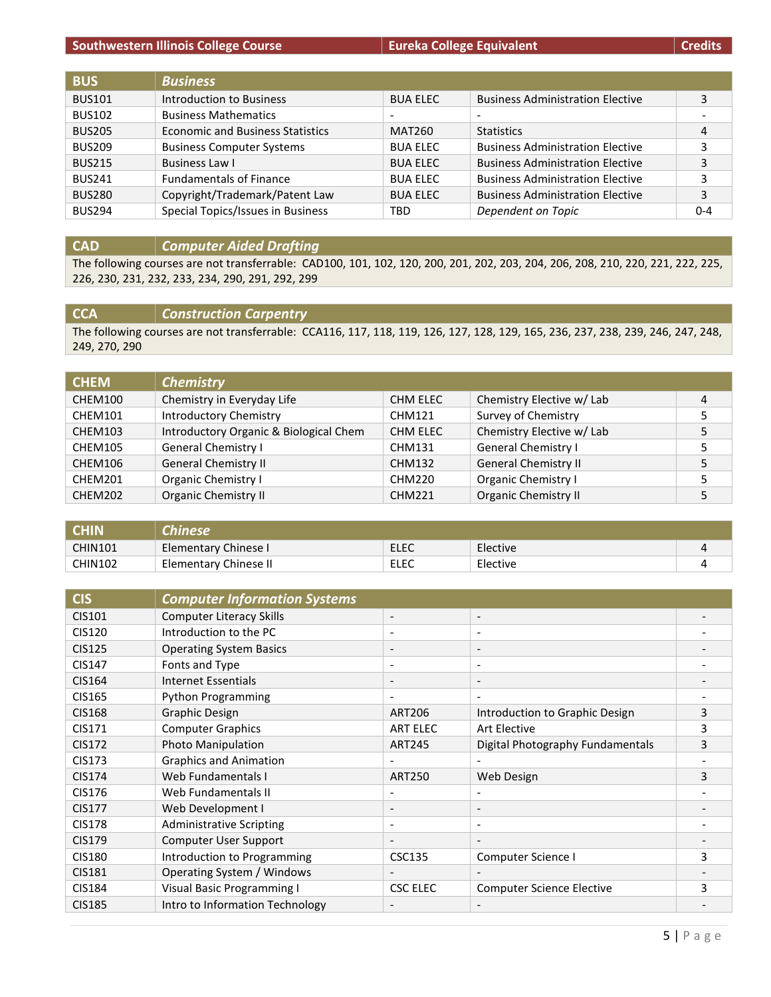#### **Southwestern Illinois College Course Eureka College Equivalent Eureka College Equivalent Credits**

| <b>BUS</b>    | <b>Business</b>                         |                          |                                         |         |
|---------------|-----------------------------------------|--------------------------|-----------------------------------------|---------|
| <b>BUS101</b> | Introduction to Business                | <b>BUA ELEC</b>          | <b>Business Administration Elective</b> | 3       |
| <b>BUS102</b> | <b>Business Mathematics</b>             | $\overline{\phantom{0}}$ | $\overline{\phantom{a}}$                | -       |
| <b>BUS205</b> | <b>Economic and Business Statistics</b> | MAT260                   | <b>Statistics</b>                       | 4       |
| <b>BUS209</b> | <b>Business Computer Systems</b>        | <b>BUA ELEC</b>          | <b>Business Administration Elective</b> | 3       |
| <b>BUS215</b> | Business Law I                          | <b>BUA ELEC</b>          | <b>Business Administration Elective</b> | 3       |
| <b>BUS241</b> | <b>Fundamentals of Finance</b>          | <b>BUA ELEC</b>          | <b>Business Administration Elective</b> | 3       |
| <b>BUS280</b> | Copyright/Trademark/Patent Law          | <b>BUA ELEC</b>          | <b>Business Administration Elective</b> | 3       |
| <b>BUS294</b> | Special Topics/Issues in Business       | TBD                      | Dependent on Topic                      | $0 - 4$ |

## **CAD** *Computer Aided Drafting*

The following courses are not transferrable: CAD100, 101, 102, 120, 200, 201, 202, 203, 204, 206, 208, 210, 220, 221, 222, 225, 226, 230, 231, 232, 233, 234, 290, 291, 292, 299

## **CCA** *Construction Carpentry*

The following courses are not transferrable: CCA116, 117, 118, 119, 126, 127, 128, 129, 165, 236, 237, 238, 239, 246, 247, 248, 249, 270, 290

| <b>CHEM</b> | <b>Chemistry</b>                       |               |                             |   |
|-------------|----------------------------------------|---------------|-----------------------------|---|
| CHEM100     | Chemistry in Everyday Life             | CHM ELEC      | Chemistry Elective w/ Lab   | 4 |
| CHEM101     | <b>Introductory Chemistry</b>          | <b>CHM121</b> | Survey of Chemistry         |   |
| CHEM103     | Introductory Organic & Biological Chem | CHM ELEC      | Chemistry Elective w/ Lab   |   |
| CHEM105     | General Chemistry I                    | <b>CHM131</b> | <b>General Chemistry I</b>  |   |
| CHEM106     | <b>General Chemistry II</b>            | <b>CHM132</b> | <b>General Chemistry II</b> |   |
| CHEM201     | Organic Chemistry I                    | <b>CHM220</b> | Organic Chemistry I         |   |
| CHEM202     | <b>Organic Chemistry II</b>            | <b>CHM221</b> | <b>Organic Chemistry II</b> |   |

| <b>CHIN</b>    | <b>Chinese</b>        |      |          |  |
|----------------|-----------------------|------|----------|--|
| <b>CHIN101</b> | Elementary Chinese I  | ELEC | Elective |  |
| <b>CHIN102</b> | Elementary Chinese II | ELEC | Elective |  |

| <b>CIS</b>    | <b>Computer Information Systems</b> |                          |                                  |   |
|---------------|-------------------------------------|--------------------------|----------------------------------|---|
| CIS101        | <b>Computer Literacy Skills</b>     | $\overline{\phantom{a}}$ | $\overline{\phantom{a}}$         |   |
| <b>CIS120</b> | Introduction to the PC              | $\overline{\phantom{a}}$ | $\overline{\phantom{a}}$         |   |
| <b>CIS125</b> | <b>Operating System Basics</b>      | $\overline{\phantom{a}}$ | $\overline{\phantom{a}}$         |   |
| <b>CIS147</b> | Fonts and Type                      | $\overline{\phantom{a}}$ | $\overline{a}$                   |   |
| <b>CIS164</b> | Internet Essentials                 | $\overline{\phantom{a}}$ | $\overline{\phantom{a}}$         |   |
| CIS165        | <b>Python Programming</b>           | $\overline{\phantom{a}}$ | $\overline{\phantom{0}}$         |   |
| <b>CIS168</b> | <b>Graphic Design</b>               | <b>ART206</b>            | Introduction to Graphic Design   | 3 |
| CIS171        | <b>Computer Graphics</b>            | <b>ART ELEC</b>          | Art Elective                     | 3 |
| <b>CIS172</b> | Photo Manipulation                  | <b>ART245</b>            | Digital Photography Fundamentals | 3 |
| <b>CIS173</b> | <b>Graphics and Animation</b>       |                          |                                  |   |
| <b>CIS174</b> | Web Fundamentals I                  | <b>ART250</b>            | Web Design                       | 3 |
| CIS176        | Web Fundamentals II                 |                          | ٠                                |   |
| <b>CIS177</b> | Web Development I                   | $\overline{\phantom{a}}$ | $\overline{\phantom{a}}$         |   |
| <b>CIS178</b> | <b>Administrative Scripting</b>     | $\overline{\phantom{a}}$ | $\overline{\phantom{a}}$         |   |
| <b>CIS179</b> | Computer User Support               | $\overline{\phantom{a}}$ | $\overline{\phantom{0}}$         |   |
| <b>CIS180</b> | Introduction to Programming         | <b>CSC135</b>            | Computer Science I               | 3 |
| <b>CIS181</b> | Operating System / Windows          |                          |                                  |   |
| <b>CIS184</b> | Visual Basic Programming I          | CSC ELEC                 | <b>Computer Science Elective</b> | 3 |
| <b>CIS185</b> | Intro to Information Technology     | $\overline{\phantom{a}}$ |                                  |   |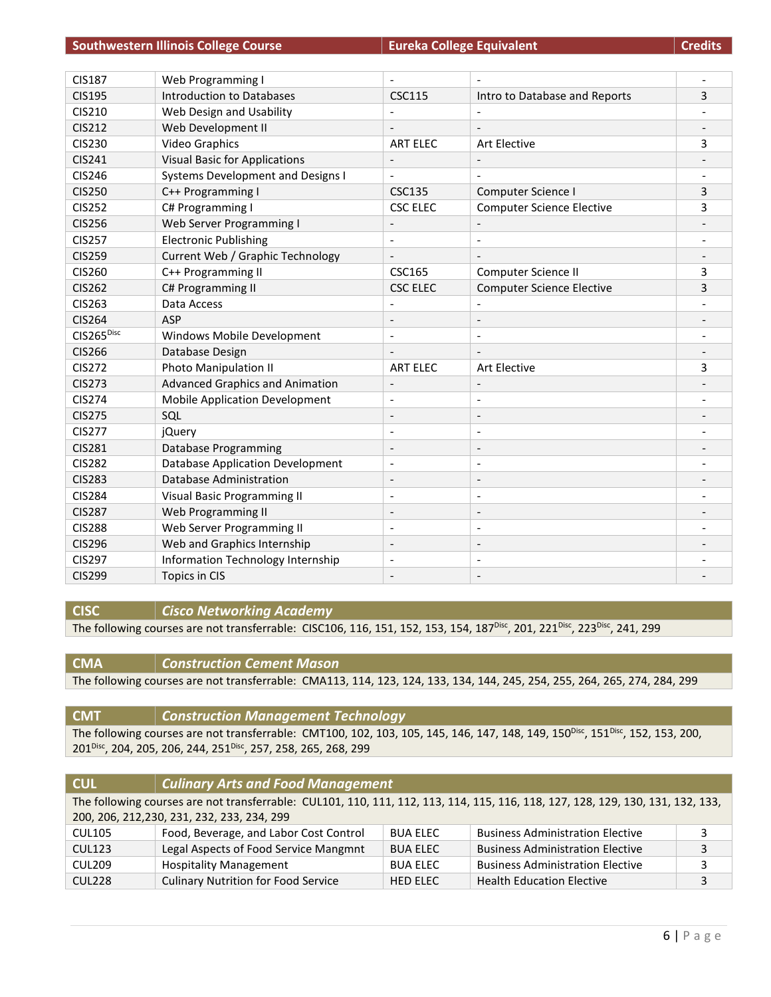| <b>Credits</b> |  |
|----------------|--|
|                |  |

| <b>CIS187</b>          | Web Programming I                        |                          |                                  |   |
|------------------------|------------------------------------------|--------------------------|----------------------------------|---|
| <b>CIS195</b>          | Introduction to Databases                | <b>CSC115</b>            | Intro to Database and Reports    | 3 |
| CIS210                 | Web Design and Usability                 |                          |                                  |   |
| <b>CIS212</b>          | Web Development II                       |                          |                                  |   |
| <b>CIS230</b>          | <b>Video Graphics</b>                    | <b>ART ELEC</b>          | <b>Art Elective</b>              | 3 |
| <b>CIS241</b>          | <b>Visual Basic for Applications</b>     | $\overline{\phantom{a}}$ | $\overline{\phantom{a}}$         |   |
| <b>CIS246</b>          | <b>Systems Development and Designs I</b> |                          |                                  |   |
| <b>CIS250</b>          | C++ Programming I                        | <b>CSC135</b>            | Computer Science I               | 3 |
| <b>CIS252</b>          | C# Programming I                         | <b>CSC ELEC</b>          | <b>Computer Science Elective</b> | 3 |
| <b>CIS256</b>          | Web Server Programming I                 |                          |                                  |   |
| <b>CIS257</b>          | <b>Electronic Publishing</b>             | $\overline{\phantom{a}}$ |                                  |   |
| <b>CIS259</b>          | Current Web / Graphic Technology         |                          |                                  |   |
| <b>CIS260</b>          | C++ Programming II                       | <b>CSC165</b>            | Computer Science II              | 3 |
| <b>CIS262</b>          | C# Programming II                        | <b>CSC ELEC</b>          | <b>Computer Science Elective</b> | 3 |
| <b>CIS263</b>          | Data Access                              |                          |                                  |   |
| <b>CIS264</b>          | <b>ASP</b>                               | $\overline{\phantom{a}}$ | $\qquad \qquad \blacksquare$     |   |
| CIS265 <sup>Disc</sup> | Windows Mobile Development               | $\overline{\phantom{a}}$ | $\overline{a}$                   |   |
| <b>CIS266</b>          | Database Design                          |                          |                                  |   |
| <b>CIS272</b>          | Photo Manipulation II                    | <b>ART ELEC</b>          | Art Elective                     | 3 |
| <b>CIS273</b>          | <b>Advanced Graphics and Animation</b>   | $\overline{\phantom{a}}$ | $\overline{\phantom{a}}$         |   |
| <b>CIS274</b>          | <b>Mobile Application Development</b>    |                          |                                  |   |
| <b>CIS275</b>          | SQL                                      |                          |                                  |   |
| <b>CIS277</b>          | jQuery                                   | $\overline{\phantom{a}}$ | $\overline{\phantom{a}}$         |   |
| <b>CIS281</b>          | Database Programming                     | $\overline{\phantom{a}}$ | $\overline{\phantom{a}}$         |   |
| <b>CIS282</b>          | <b>Database Application Development</b>  | $\blacksquare$           | $\overline{a}$                   |   |
| <b>CIS283</b>          | Database Administration                  | $\overline{\phantom{a}}$ | $\overline{\phantom{a}}$         |   |
| <b>CIS284</b>          | Visual Basic Programming II              | $\overline{\phantom{a}}$ | $\overline{\phantom{a}}$         |   |
| <b>CIS287</b>          | Web Programming II                       | $\overline{\phantom{a}}$ | $\overline{a}$                   |   |
| <b>CIS288</b>          | Web Server Programming II                |                          |                                  |   |
| <b>CIS296</b>          | Web and Graphics Internship              | $\overline{\phantom{a}}$ | $\overline{\phantom{a}}$         |   |
| <b>CIS297</b>          | Information Technology Internship        | $\overline{\phantom{a}}$ |                                  |   |
| <b>CIS299</b>          | Topics in CIS                            |                          |                                  |   |

**CISC** *Cisco Networking Academy*

The following courses are not transferrable: CISC106, 116, 151, 152, 153, 154, 187<sup>Disc</sup>, 201, 221<sup>Disc</sup>, 223<sup>Disc</sup>, 241, 299

#### **CMA** *Construction Cement Mason*

The following courses are not transferrable: CMA113, 114, 123, 124, 133, 134, 144, 245, 254, 255, 264, 265, 274, 284, 299

**CMT** *Construction Management Technology* The following courses are not transferrable: CMT100, 102, 103, 105, 145, 146, 147, 148, 149, 150<sup>Disc</sup>, 151<sup>Disc</sup>, 152, 153, 200, 201<sup>Disc</sup>, 204, 205, 206, 244, 251<sup>Disc</sup>, 257, 258, 265, 268, 299

| <b>CUL</b>                                                                                                                      | <b>Culinary Arts and Food Management</b>    |                 |                                         |   |
|---------------------------------------------------------------------------------------------------------------------------------|---------------------------------------------|-----------------|-----------------------------------------|---|
| The following courses are not transferrable: CUL101, 110, 111, 112, 113, 114, 115, 116, 118, 127, 128, 129, 130, 131, 132, 133, |                                             |                 |                                         |   |
|                                                                                                                                 | 200, 206, 212, 230, 231, 232, 233, 234, 299 |                 |                                         |   |
| <b>CUL105</b>                                                                                                                   | Food, Beverage, and Labor Cost Control      | <b>BUA ELEC</b> | <b>Business Administration Elective</b> |   |
| <b>CUL123</b>                                                                                                                   | Legal Aspects of Food Service Mangmnt       | <b>BUA ELEC</b> | <b>Business Administration Elective</b> | 2 |
| CUL209                                                                                                                          | <b>Hospitality Management</b>               | <b>BUA ELEC</b> | <b>Business Administration Elective</b> | 2 |
| CUL228                                                                                                                          | <b>Culinary Nutrition for Food Service</b>  | <b>HED ELEC</b> | <b>Health Education Elective</b>        |   |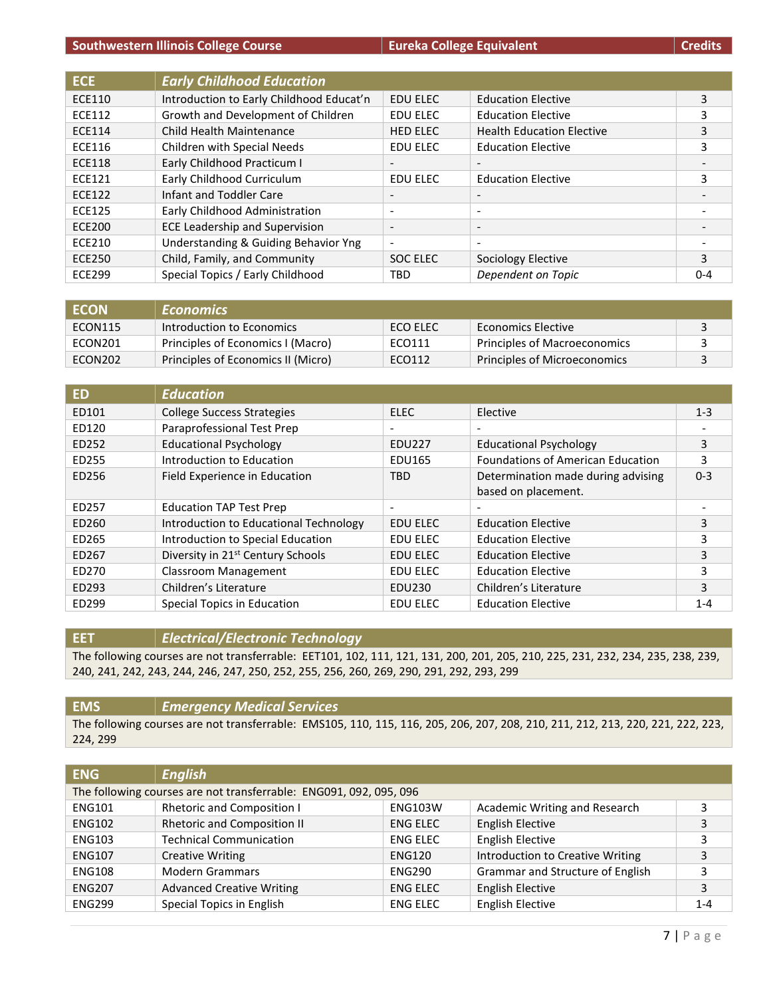|  | <b>Credits</b> |
|--|----------------|
|  |                |
|  |                |

| ECE.          | <b>Early Childhood Education</b>         |                          |                                  |         |
|---------------|------------------------------------------|--------------------------|----------------------------------|---------|
| <b>ECE110</b> | Introduction to Early Childhood Educat'n | <b>EDU ELEC</b>          | <b>Education Elective</b>        | 3       |
| <b>ECE112</b> | Growth and Development of Children       | EDU ELEC                 | <b>Education Elective</b>        | 3       |
| <b>ECE114</b> | Child Health Maintenance                 | <b>HED ELEC</b>          | <b>Health Education Elective</b> | 3       |
| <b>ECE116</b> | Children with Special Needs              | EDU ELEC                 | <b>Education Elective</b>        | 3       |
| <b>ECE118</b> | Early Childhood Practicum I              |                          |                                  |         |
| <b>ECE121</b> | Early Childhood Curriculum               | <b>EDU ELEC</b>          | <b>Education Elective</b>        | 3       |
| ECE122        | Infant and Toddler Care                  | $\overline{\phantom{a}}$ | $\overline{\phantom{a}}$         |         |
| <b>ECE125</b> | Early Childhood Administration           | $\overline{\phantom{a}}$ | $\overline{a}$                   |         |
| <b>ECE200</b> | <b>ECE Leadership and Supervision</b>    | $\overline{\phantom{a}}$ | $\overline{\phantom{a}}$         |         |
| <b>ECE210</b> | Understanding & Guiding Behavior Yng     | $\overline{\phantom{a}}$ | $\overline{\phantom{a}}$         |         |
| <b>ECE250</b> | Child, Family, and Community             | <b>SOC ELEC</b>          | Sociology Elective               | 3       |
| <b>ECE299</b> | Special Topics / Early Childhood         | <b>TBD</b>               | Dependent on Topic               | $0 - 4$ |

| <b>ECON</b> | <b>Economics</b>                   |          |                              |  |
|-------------|------------------------------------|----------|------------------------------|--|
| ECON115     | Introduction to Economics          | ECO ELEC | Economics Elective           |  |
| ECON201     | Principles of Economics I (Macro)  | ECO111   | Principles of Macroeconomics |  |
| ECON202     | Principles of Economics II (Micro) | ECO112   | Principles of Microeconomics |  |

| ED    | <b>Education</b>                              |                          |                                          |         |
|-------|-----------------------------------------------|--------------------------|------------------------------------------|---------|
| ED101 | <b>College Success Strategies</b>             | <b>ELEC</b>              | Elective                                 | $1 - 3$ |
| ED120 | Paraprofessional Test Prep                    | $\overline{\phantom{a}}$ |                                          |         |
| ED252 | <b>Educational Psychology</b>                 | <b>EDU227</b>            | <b>Educational Psychology</b>            | 3       |
| ED255 | Introduction to Education                     | <b>EDU165</b>            | <b>Foundations of American Education</b> | 3       |
| ED256 | Field Experience in Education                 | <b>TBD</b>               | Determination made during advising       | $0 - 3$ |
|       |                                               |                          | based on placement.                      |         |
| ED257 | <b>Education TAP Test Prep</b>                | $\overline{\phantom{a}}$ |                                          |         |
| ED260 | Introduction to Educational Technology        | EDU ELEC                 | <b>Education Elective</b>                | 3       |
| ED265 | Introduction to Special Education             | EDU ELEC                 | <b>Education Elective</b>                | 3       |
| ED267 | Diversity in 21 <sup>st</sup> Century Schools | EDU ELEC                 | <b>Education Elective</b>                | 3       |
| ED270 | Classroom Management                          | EDU ELEC                 | <b>Education Elective</b>                | 3       |
| ED293 | Children's Literature                         | <b>EDU230</b>            | Children's Literature                    | 3       |
| ED299 | Special Topics in Education                   | <b>EDU ELEC</b>          | <b>Education Elective</b>                | $1 - 4$ |

#### **EET** *Electrical/Electronic Technology*

The following courses are not transferrable: EET101, 102, 111, 121, 131, 200, 201, 205, 210, 225, 231, 232, 234, 235, 238, 239, 240, 241, 242, 243, 244, 246, 247, 250, 252, 255, 256, 260, 269, 290, 291, 292, 293, 299

#### **EMS** *Emergency Medical Services* The following courses are not transferrable: EMS105, 110, 115, 116, 205, 206, 207, 208, 210, 211, 212, 213, 220, 221, 222, 223, 224, 299

| <b>ENG</b>    | <b>English</b>                                                     |                 |                                  |         |
|---------------|--------------------------------------------------------------------|-----------------|----------------------------------|---------|
|               | The following courses are not transferrable: ENG091, 092, 095, 096 |                 |                                  |         |
| <b>ENG101</b> | <b>Rhetoric and Composition I</b>                                  | <b>ENG103W</b>  | Academic Writing and Research    | 3       |
| <b>ENG102</b> | <b>Rhetoric and Composition II</b>                                 | <b>ENG ELEC</b> | <b>English Elective</b>          | 3       |
| <b>ENG103</b> | <b>Technical Communication</b>                                     | <b>ENG ELEC</b> | <b>English Elective</b>          | 3       |
| <b>ENG107</b> | <b>Creative Writing</b>                                            | <b>ENG120</b>   | Introduction to Creative Writing | 3       |
| <b>ENG108</b> | <b>Modern Grammars</b>                                             | <b>ENG290</b>   | Grammar and Structure of English | 3       |
| <b>ENG207</b> | <b>Advanced Creative Writing</b>                                   | <b>ENG ELEC</b> | <b>English Elective</b>          | 3       |
| <b>ENG299</b> | Special Topics in English                                          | <b>ENG ELEC</b> | <b>English Elective</b>          | $1 - 4$ |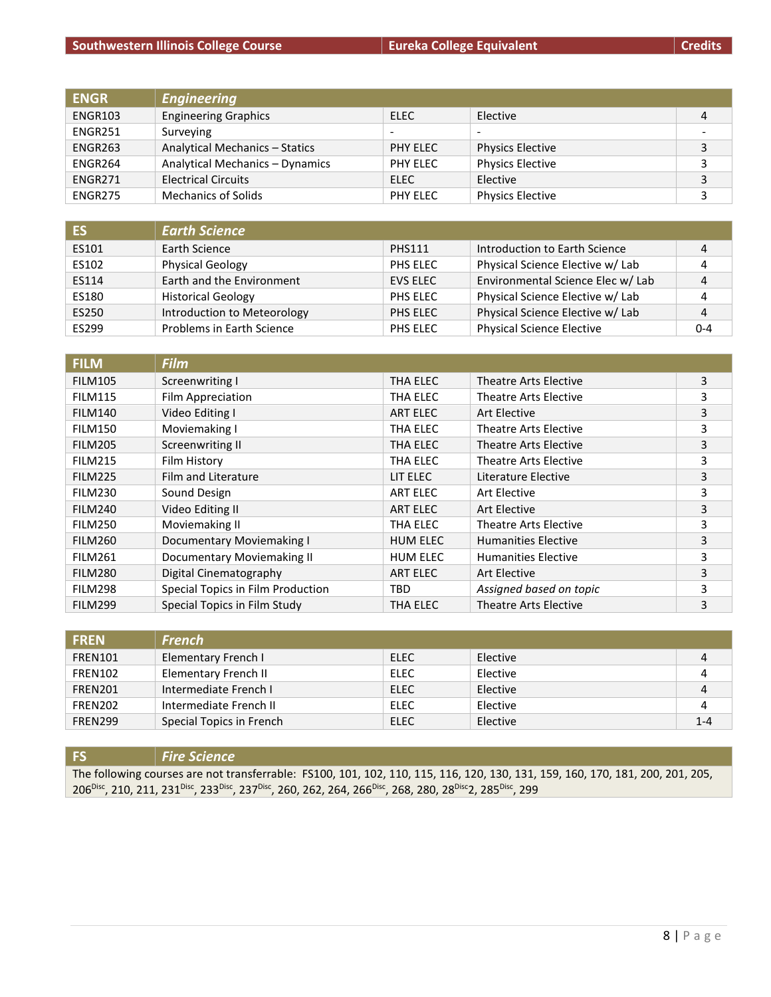## **Southwestern Illinois College Course Eureka College Equivalent**

|  | <b>Credits</b> |
|--|----------------|
|  |                |

| <b>ENGR</b> | <b>Engineering</b>              |                          |                         |   |
|-------------|---------------------------------|--------------------------|-------------------------|---|
| ENGR103     | <b>Engineering Graphics</b>     | ELEC                     | Elective                |   |
| ENGR251     | Surveying                       | $\overline{\phantom{0}}$ |                         |   |
| ENGR263     | Analytical Mechanics - Statics  | PHY ELEC                 | <b>Physics Elective</b> |   |
| ENGR264     | Analytical Mechanics - Dynamics | PHY ELEC                 | <b>Physics Elective</b> |   |
| ENGR271     | <b>Electrical Circuits</b>      | ELEC                     | Elective                | 3 |
| ENGR275     | <b>Mechanics of Solids</b>      | PHY ELEC                 | <b>Physics Elective</b> |   |

| <b>ES</b> | <b>Earth Science</b>        |               |                                   |         |
|-----------|-----------------------------|---------------|-----------------------------------|---------|
| ES101     | Earth Science               | <b>PHS111</b> | Introduction to Earth Science     | 4       |
| ES102     | <b>Physical Geology</b>     | PHS ELEC      | Physical Science Elective w/ Lab  |         |
| ES114     | Earth and the Environment   | EVS ELEC      | Environmental Science Elec w/ Lab | 4       |
| ES180     | <b>Historical Geology</b>   | PHS ELEC      | Physical Science Elective w/ Lab  |         |
| ES250     | Introduction to Meteorology | PHS ELEC      | Physical Science Elective w/ Lab  | 4       |
| ES299     | Problems in Earth Science   | PHS ELEC      | <b>Physical Science Elective</b>  | $0 - 4$ |

| <b>FILM</b>    | <b>Film</b>                       |                 |                              |   |
|----------------|-----------------------------------|-----------------|------------------------------|---|
| <b>FILM105</b> | Screenwriting I                   | THA ELEC        | <b>Theatre Arts Elective</b> | 3 |
| <b>FILM115</b> | Film Appreciation                 | THA ELEC        | Theatre Arts Elective        | 3 |
| <b>FILM140</b> | Video Editing I                   | <b>ART ELEC</b> | Art Elective                 | 3 |
| FILM150        | Moviemaking I                     | THA ELEC        | Theatre Arts Elective        | 3 |
| <b>FILM205</b> | <b>Screenwriting II</b>           | THA ELEC        | Theatre Arts Elective        | 3 |
| FILM215        | Film History                      | THA ELEC        | <b>Theatre Arts Elective</b> | 3 |
| FILM225        | <b>Film and Literature</b>        | LIT ELEC        | Literature Elective          | 3 |
| <b>FILM230</b> | Sound Design                      | ART ELEC        | Art Elective                 | 3 |
| FILM240        | Video Editing II                  | ART ELEC        | Art Elective                 | 3 |
| <b>FILM250</b> | Moviemaking II                    | THA ELEC        | Theatre Arts Elective        | 3 |
| <b>FILM260</b> | <b>Documentary Moviemaking I</b>  | <b>HUM ELEC</b> | <b>Humanities Elective</b>   | 3 |
| <b>FILM261</b> | Documentary Moviemaking II        | <b>HUM ELEC</b> | <b>Humanities Elective</b>   | 3 |
| <b>FILM280</b> | Digital Cinematography            | ART ELEC        | Art Elective                 | 3 |
| FILM298        | Special Topics in Film Production | TBD             | Assigned based on topic      | 3 |
| <b>FILM299</b> | Special Topics in Film Study      | THA ELEC        | <b>Theatre Arts Elective</b> | 3 |

| <b>FREN</b>    | <b>French</b>               |      |          |         |
|----------------|-----------------------------|------|----------|---------|
| FREN101        | Elementary French I         | ELEC | Elective | 4       |
| FREN102        | <b>Elementary French II</b> | ELEC | Elective | 4       |
| FREN201        | Intermediate French I       | ELEC | Elective | 4       |
| <b>FREN202</b> | Intermediate French II      | ELEC | Elective | 4       |
| <b>FREN299</b> | Special Topics in French    | ELEC | Elective | $1 - 4$ |

## **FS** *Fire Science*

The following courses are not transferrable: FS100, 101, 102, 110, 115, 116, 120, 130, 131, 159, 160, 170, 181, 200, 201, 205, 206<sup>Disc</sup>, 210, 211, 231<sup>Disc</sup>, 233<sup>Disc</sup>, 237<sup>Disc</sup>, 260, 262, 264, 266<sup>Disc</sup>, 268, 280, 28<sup>Disc</sup>2, 285<sup>Disc</sup>, 299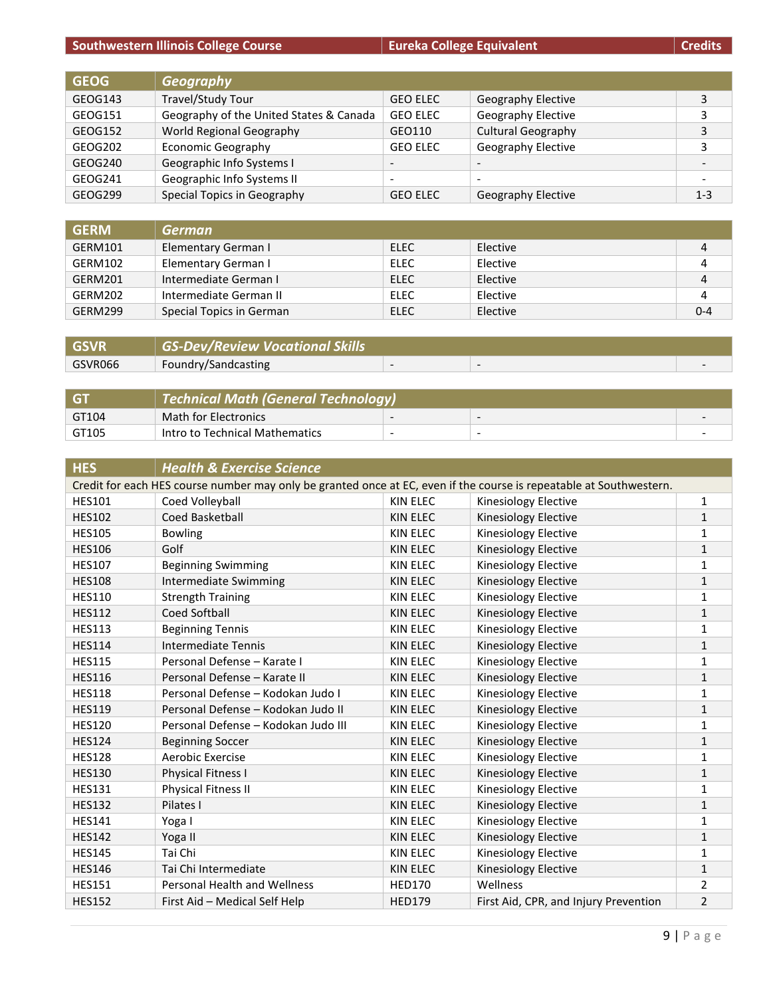## **Southwestern Illinois College Course Eureka College Equivalent**

| <b>Credits</b> |  |  |
|----------------|--|--|
|                |  |  |
|                |  |  |
|                |  |  |

| <b>GEOG</b> | <b>Geography</b>                        |                          |                           |         |
|-------------|-----------------------------------------|--------------------------|---------------------------|---------|
| GEOG143     | Travel/Study Tour                       | <b>GEO ELEC</b>          | <b>Geography Elective</b> | 3       |
| GEOG151     | Geography of the United States & Canada | <b>GEO ELEC</b>          | Geography Elective        | 3       |
| GEOG152     | World Regional Geography                | GEO110                   | Cultural Geography        | 3       |
| GEOG202     | <b>Economic Geography</b>               | <b>GEO ELEC</b>          | Geography Elective        | 3       |
| GEOG240     | Geographic Info Systems I               | $\overline{\phantom{a}}$ | $\overline{\phantom{0}}$  |         |
| GEOG241     | Geographic Info Systems II              | $\overline{\phantom{0}}$ | $\overline{\phantom{0}}$  |         |
| GEOG299     | Special Topics in Geography             | <b>GEO ELEC</b>          | <b>Geography Elective</b> | $1 - 3$ |

| <b>GERM</b> | <b>German</b>            |             |          |         |
|-------------|--------------------------|-------------|----------|---------|
| GERM101     | Elementary German I      | ELEC        | Elective | 4       |
| GERM102     | Elementary German I      | <b>ELEC</b> | Elective | 4       |
| GERM201     | Intermediate German I    | ELEC        | Elective | 4       |
| GERM202     | Intermediate German II   | ELEC        | Elective | 4       |
| GERM299     | Special Topics in German | <b>ELEC</b> | Elective | $0 - 4$ |

| <b>GSVR</b> | <b>GS-Dev/Review Vocational Skills</b> |  |  |
|-------------|----------------------------------------|--|--|
| GSVR066     | Foundry/Sandcasting                    |  |  |

| <b>GT</b> | Technical Math (General Technology) |                          |                          |  |
|-----------|-------------------------------------|--------------------------|--------------------------|--|
| GT104     | Math for Electronics                | -                        |                          |  |
| GT105     | Intro to Technical Mathematics      | $\overline{\phantom{a}}$ | $\overline{\phantom{0}}$ |  |

| <b>HES</b>    | <b>Health &amp; Exercise Science</b>                                                                                |                 |                                       |                |
|---------------|---------------------------------------------------------------------------------------------------------------------|-----------------|---------------------------------------|----------------|
|               | Credit for each HES course number may only be granted once at EC, even if the course is repeatable at Southwestern. |                 |                                       |                |
| <b>HES101</b> | Coed Volleyball                                                                                                     | <b>KIN ELEC</b> | Kinesiology Elective                  | 1              |
| <b>HES102</b> | Coed Basketball                                                                                                     | <b>KIN ELEC</b> | Kinesiology Elective                  | $\mathbf{1}$   |
| <b>HES105</b> | <b>Bowling</b>                                                                                                      | <b>KIN ELEC</b> | Kinesiology Elective                  | 1              |
| <b>HES106</b> | Golf                                                                                                                | <b>KIN ELEC</b> | Kinesiology Elective                  | $\mathbf{1}$   |
| <b>HES107</b> | <b>Beginning Swimming</b>                                                                                           | <b>KIN ELEC</b> | Kinesiology Elective                  | 1              |
| <b>HES108</b> | <b>Intermediate Swimming</b>                                                                                        | <b>KIN ELEC</b> | Kinesiology Elective                  | $\mathbf{1}$   |
| <b>HES110</b> | <b>Strength Training</b>                                                                                            | <b>KIN ELEC</b> | Kinesiology Elective                  | 1              |
| <b>HES112</b> | Coed Softball                                                                                                       | <b>KIN ELEC</b> | Kinesiology Elective                  | $\mathbf{1}$   |
| <b>HES113</b> | <b>Beginning Tennis</b>                                                                                             | <b>KIN ELEC</b> | Kinesiology Elective                  | 1              |
| <b>HES114</b> | <b>Intermediate Tennis</b>                                                                                          | <b>KIN ELEC</b> | Kinesiology Elective                  | $\mathbf{1}$   |
| <b>HES115</b> | Personal Defense - Karate I                                                                                         | <b>KIN ELEC</b> | <b>Kinesiology Elective</b>           | 1              |
| <b>HES116</b> | Personal Defense - Karate II                                                                                        | <b>KIN ELEC</b> | Kinesiology Elective                  | $\mathbf{1}$   |
| <b>HES118</b> | Personal Defense - Kodokan Judo I                                                                                   | <b>KIN ELEC</b> | Kinesiology Elective                  | 1              |
| <b>HES119</b> | Personal Defense - Kodokan Judo II                                                                                  | <b>KIN ELEC</b> | Kinesiology Elective                  | $\mathbf{1}$   |
| <b>HES120</b> | Personal Defense - Kodokan Judo III                                                                                 | <b>KIN ELEC</b> | Kinesiology Elective                  | 1              |
| <b>HES124</b> | <b>Beginning Soccer</b>                                                                                             | <b>KIN ELEC</b> | Kinesiology Elective                  | $\mathbf{1}$   |
| <b>HES128</b> | Aerobic Exercise                                                                                                    | <b>KIN ELEC</b> | Kinesiology Elective                  | 1              |
| <b>HES130</b> | Physical Fitness I                                                                                                  | <b>KIN ELEC</b> | Kinesiology Elective                  | $\mathbf{1}$   |
| <b>HES131</b> | Physical Fitness II                                                                                                 | <b>KIN ELEC</b> | Kinesiology Elective                  | 1              |
| <b>HES132</b> | Pilates I                                                                                                           | <b>KIN ELEC</b> | Kinesiology Elective                  | $\mathbf{1}$   |
| <b>HES141</b> | Yoga I                                                                                                              | <b>KIN ELEC</b> | Kinesiology Elective                  | 1              |
| <b>HES142</b> | Yoga II                                                                                                             | <b>KIN ELEC</b> | Kinesiology Elective                  | $\mathbf{1}$   |
| <b>HES145</b> | Tai Chi                                                                                                             | <b>KIN ELEC</b> | Kinesiology Elective                  | 1              |
| <b>HES146</b> | Tai Chi Intermediate                                                                                                | <b>KIN ELEC</b> | Kinesiology Elective                  | $\mathbf{1}$   |
| <b>HES151</b> | Personal Health and Wellness                                                                                        | <b>HED170</b>   | Wellness                              | 2              |
| <b>HES152</b> | First Aid - Medical Self Help                                                                                       | <b>HED179</b>   | First Aid, CPR, and Injury Prevention | $\overline{2}$ |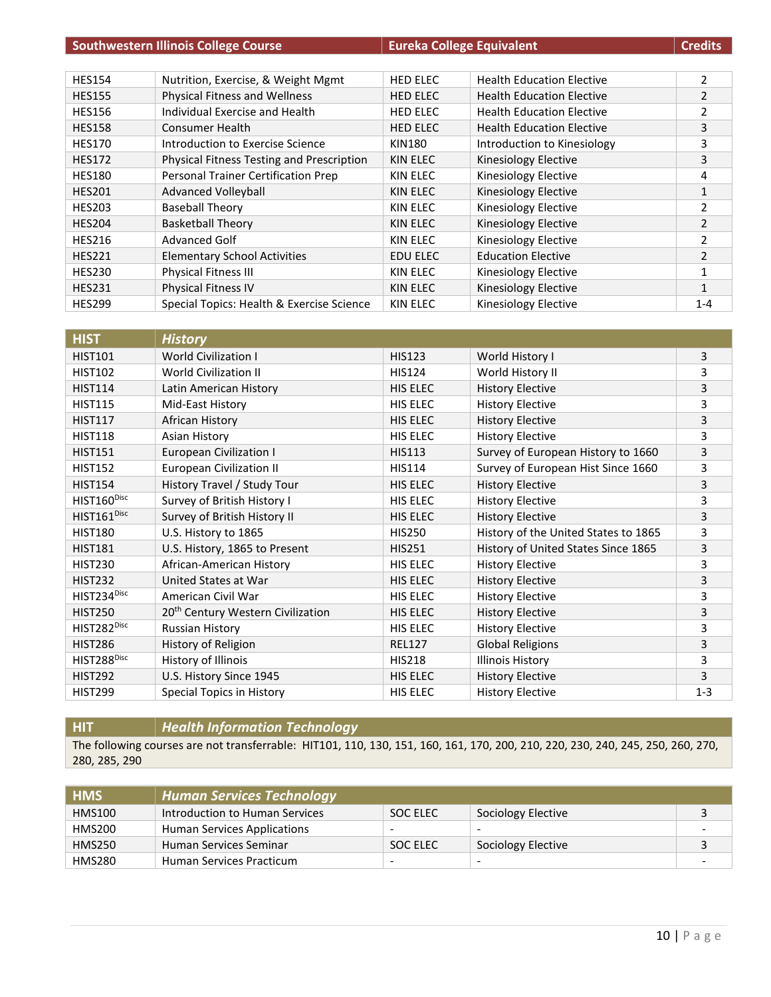| <b>Southwestern Illinois College Course</b> |                                           | <b>Eureka College Equivalent</b> |                                  | <b>Credits</b> |
|---------------------------------------------|-------------------------------------------|----------------------------------|----------------------------------|----------------|
|                                             |                                           |                                  |                                  |                |
| <b>HES154</b>                               | Nutrition, Exercise, & Weight Mgmt        | <b>HED ELEC</b>                  | <b>Health Education Elective</b> | $\overline{2}$ |
| <b>HES155</b>                               | Physical Fitness and Wellness             | <b>HED ELEC</b>                  | <b>Health Education Elective</b> | $\overline{2}$ |
| <b>HES156</b>                               | Individual Exercise and Health            | <b>HED ELEC</b>                  | <b>Health Education Elective</b> | $\overline{2}$ |
| <b>HES158</b>                               | <b>Consumer Health</b>                    | <b>HED ELEC</b>                  | <b>Health Education Elective</b> | 3              |
| <b>HES170</b>                               | Introduction to Exercise Science          | <b>KIN180</b>                    | Introduction to Kinesiology      | 3              |
| <b>HES172</b>                               | Physical Fitness Testing and Prescription | KIN ELEC                         | Kinesiology Elective             | 3              |
| <b>HES180</b>                               | Personal Trainer Certification Prep       | KIN ELEC                         | Kinesiology Elective             | 4              |
| <b>HES201</b>                               | <b>Advanced Volleyball</b>                | KIN ELEC                         | Kinesiology Elective             | $\mathbf{1}$   |
| <b>HES203</b>                               | <b>Baseball Theory</b>                    | KIN ELEC                         | Kinesiology Elective             | $\overline{2}$ |
| <b>HES204</b>                               | <b>Basketball Theory</b>                  | KIN ELEC                         | Kinesiology Elective             | $\overline{2}$ |
| <b>HES216</b>                               | <b>Advanced Golf</b>                      | KIN ELEC                         | Kinesiology Elective             | $\overline{2}$ |
| <b>HES221</b>                               | <b>Elementary School Activities</b>       | EDU ELEC                         | <b>Education Elective</b>        | $\overline{2}$ |
| <b>HES230</b>                               | <b>Physical Fitness III</b>               | KIN ELEC                         | Kinesiology Elective             |                |
| <b>HES231</b>                               | <b>Physical Fitness IV</b>                | KIN ELEC                         | Kinesiology Elective             | $\mathbf{1}$   |
| <b>HES299</b>                               | Special Topics: Health & Exercise Science | KIN ELEC                         | Kinesiology Elective             | $1 - 4$        |

| <b>HIST</b>             | <b>History</b>                                |                 |                                      |         |
|-------------------------|-----------------------------------------------|-----------------|--------------------------------------|---------|
| <b>HIST101</b>          | <b>World Civilization I</b>                   | <b>HIS123</b>   | World History I                      | 3       |
| <b>HIST102</b>          | <b>World Civilization II</b>                  | <b>HIS124</b>   | World History II                     | 3       |
| <b>HIST114</b>          | Latin American History                        | HIS ELEC        | <b>History Elective</b>              | 3       |
| <b>HIST115</b>          | Mid-East History                              | <b>HIS ELEC</b> | <b>History Elective</b>              | 3       |
| <b>HIST117</b>          | African History                               | HIS ELEC        | <b>History Elective</b>              | 3       |
| <b>HIST118</b>          | Asian History                                 | <b>HIS ELEC</b> | <b>History Elective</b>              | 3       |
| <b>HIST151</b>          | <b>European Civilization I</b>                | <b>HIS113</b>   | Survey of European History to 1660   | 3       |
| <b>HIST152</b>          | <b>European Civilization II</b>               | <b>HIS114</b>   | Survey of European Hist Since 1660   | 3       |
| <b>HIST154</b>          | History Travel / Study Tour                   | <b>HIS ELEC</b> | <b>History Elective</b>              | 3       |
| HIST160 <sup>Disc</sup> | Survey of British History I                   | HIS ELEC        | <b>History Elective</b>              | 3       |
| HIST161 <sup>Disc</sup> | Survey of British History II                  | HIS ELEC        | <b>History Elective</b>              | 3       |
| <b>HIST180</b>          | U.S. History to 1865                          | <b>HIS250</b>   | History of the United States to 1865 | 3       |
| <b>HIST181</b>          | U.S. History, 1865 to Present                 | <b>HIS251</b>   | History of United States Since 1865  | 3       |
| <b>HIST230</b>          | African-American History                      | <b>HIS ELEC</b> | <b>History Elective</b>              | 3       |
| <b>HIST232</b>          | United States at War                          | HIS ELEC        | <b>History Elective</b>              | 3       |
| HIST234 <sup>Disc</sup> | American Civil War                            | <b>HIS ELEC</b> | <b>History Elective</b>              | 3       |
| <b>HIST250</b>          | 20 <sup>th</sup> Century Western Civilization | <b>HIS ELEC</b> | <b>History Elective</b>              | 3       |
| HIST282 <sup>Disc</sup> | <b>Russian History</b>                        | <b>HIS ELEC</b> | <b>History Elective</b>              | 3       |
| <b>HIST286</b>          | History of Religion                           | <b>REL127</b>   | <b>Global Religions</b>              | 3       |
| HIST288 <sup>Disc</sup> | History of Illinois                           | <b>HIS218</b>   | <b>Illinois History</b>              | 3       |
| <b>HIST292</b>          | U.S. History Since 1945                       | HIS ELEC        | <b>History Elective</b>              | 3       |
| <b>HIST299</b>          | Special Topics in History                     | HIS ELEC        | <b>History Elective</b>              | $1 - 3$ |

**HIT** *Health Information Technology*

The following courses are not transferrable: HIT101, 110, 130, 151, 160, 161, 170, 200, 210, 220, 230, 240, 245, 250, 260, 270, 280, 285, 290

| <b>HMS</b>    | <b>Human Services Technology</b> |                          |                          |  |
|---------------|----------------------------------|--------------------------|--------------------------|--|
| <b>HMS100</b> | Introduction to Human Services   | SOC ELEC                 | Sociology Elective       |  |
| HMS200        | Human Services Applications      | $\overline{\phantom{0}}$ | $\overline{\phantom{a}}$ |  |
| <b>HMS250</b> | Human Services Seminar           | SOC ELEC                 | Sociology Elective       |  |
| <b>HMS280</b> | <b>Human Services Practicum</b>  | -                        | $\overline{\phantom{0}}$ |  |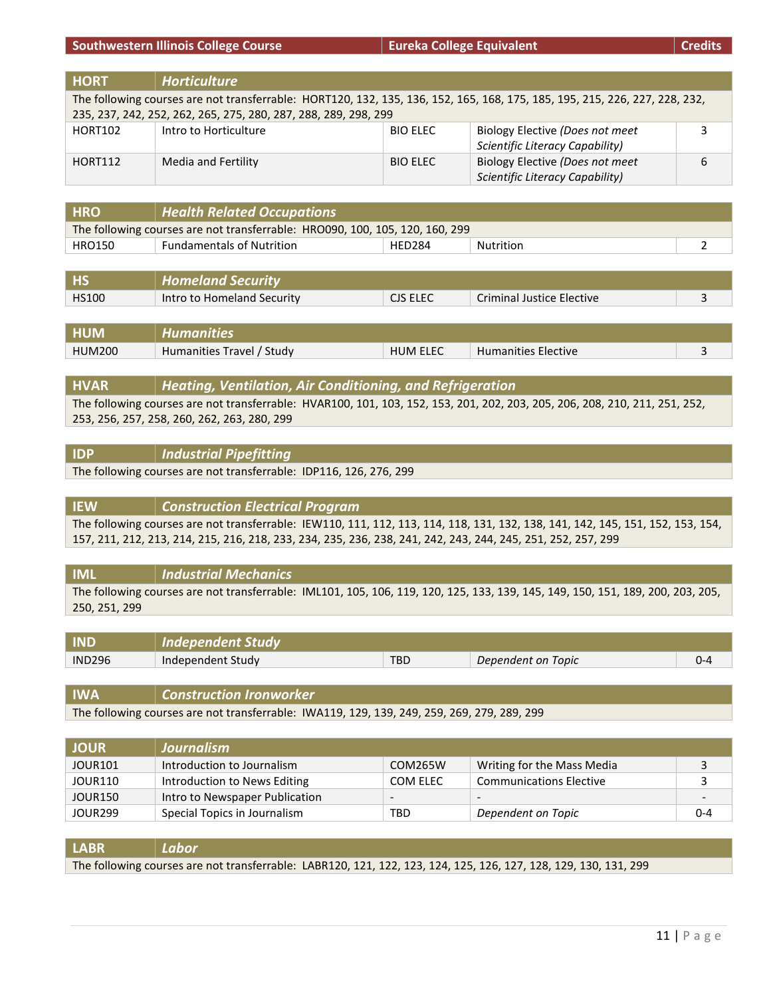#### **Southwestern Illinois College Course Eureka College Equivalent Credits**

**HORT** *Horticulture* The following courses are not transferrable: HORT120, 132, 135, 136, 152, 165, 168, 175, 185, 195, 215, 226, 227, 228, 232, 235, 237, 242, 252, 262, 265, 275, 280, 287, 288, 289, 298, 299 HORT102 Intro to Horticulture BIO ELEC Biology Elective *(Does not meet Scientific Literacy Capability)* 3 HORT112 Media and Fertility BIO ELEC Biology Elective *(Does not meet Scientific Literacy Capability)* 6

| <b>HRO</b>    | <b>Health Related Occupations</b>                                            |        |           |  |
|---------------|------------------------------------------------------------------------------|--------|-----------|--|
|               | The following courses are not transferrable: HRO090, 100, 105, 120, 160, 299 |        |           |  |
| <b>HRO150</b> | <b>Fundamentals of Nutrition</b>                                             | HFD284 | Nutrition |  |
|               |                                                                              |        |           |  |

| <b>HS</b>    | <b>Homeland Security</b>   |                 |                           |  |
|--------------|----------------------------|-----------------|---------------------------|--|
| <b>HS100</b> | Intro to Homeland Security | <b>CJS ELEC</b> | Criminal Justice Elective |  |
|              |                            |                 |                           |  |

| <b>HUM</b>    | Humanıtıes                |                 |                            |  |
|---------------|---------------------------|-----------------|----------------------------|--|
| <b>HUM200</b> | Humanities Travel / Study | <b>HUM ELEC</b> | <b>Humanities Elective</b> |  |

#### **HVAR** *Heating, Ventilation, Air Conditioning, and Refrigeration*

The following courses are not transferrable: HVAR100, 101, 103, 152, 153, 201, 202, 203, 205, 206, 208, 210, 211, 251, 252, 253, 256, 257, 258, 260, 262, 263, 280, 299

#### **IDP** *Industrial Pipefitting*

The following courses are not transferrable: IDP116, 126, 276, 299

**IEW** *Construction Electrical Program* The following courses are not transferrable: IEW110, 111, 112, 113, 114, 118, 131, 132, 138, 141, 142, 145, 151, 152, 153, 154, 157, 211, 212, 213, 214, 215, 216, 218, 233, 234, 235, 236, 238, 241, 242, 243, 244, 245, 251, 252, 257, 299

#### **IML** *Industrial Mechanics* The following courses are not transferrable: IML101, 105, 106, 119, 120, 125, 133, 139, 145, 149, 150, 151, 189, 200, 203, 205, 250, 251, 299

| IND           | Indenendent Studv |      |                    |  |
|---------------|-------------------|------|--------------------|--|
| <b>IND296</b> | Independent Study | TBD. | Dependent on Topic |  |

**IWA** *Construction Ironworker* The following courses are not transferrable: IWA119, 129, 139, 249, 259, 269, 279, 289, 299

| <b>JOUR</b>         | <b>Journalism</b>              |                          |                                |         |
|---------------------|--------------------------------|--------------------------|--------------------------------|---------|
| JOUR101             | Introduction to Journalism     | COM265W                  | Writing for the Mass Media     |         |
| JOUR110             | Introduction to News Editing   | COM ELEC                 | <b>Communications Elective</b> |         |
| JOUR150             | Intro to Newspaper Publication | $\overline{\phantom{a}}$ |                                |         |
| JOUR <sub>299</sub> | Special Topics in Journalism   | TBD                      | Dependent on Topic             | $0 - 4$ |

| <b>LABR</b> | Labor                                                                                                            |
|-------------|------------------------------------------------------------------------------------------------------------------|
|             | The following courses are not transferrable: LABR120, 121, 122, 123, 124, 125, 126, 127, 128, 129, 130, 131, 299 |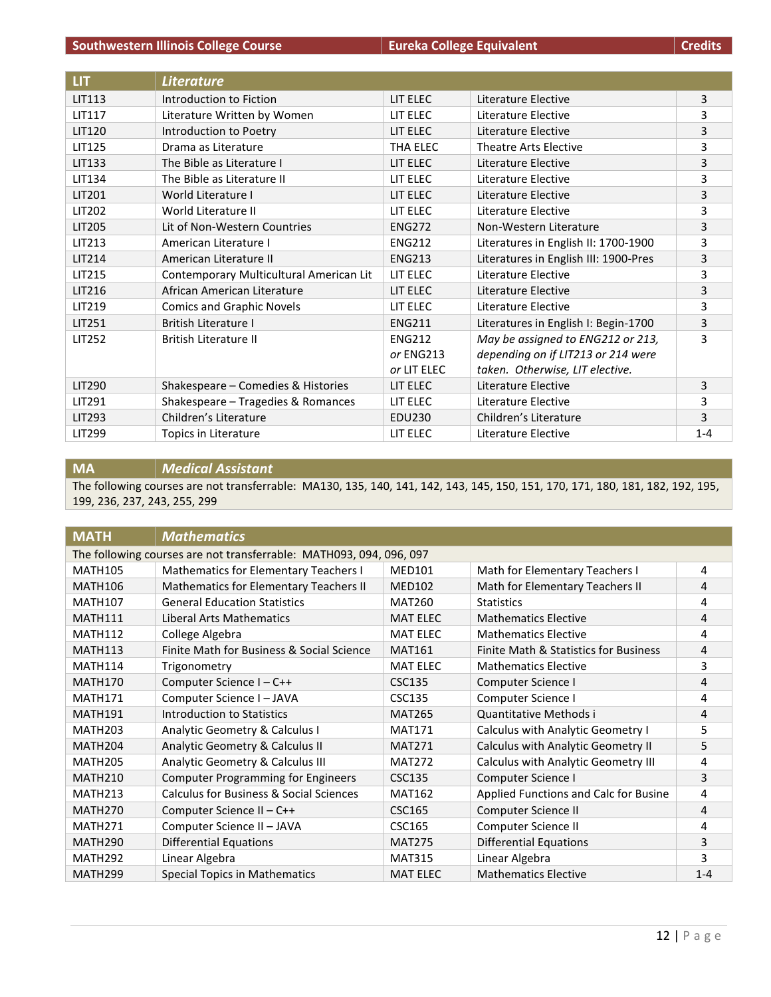| LIT           | <b>Literature</b>                       |               |                                       |         |
|---------------|-----------------------------------------|---------------|---------------------------------------|---------|
| <b>LIT113</b> | Introduction to Fiction                 | LIT ELEC      | Literature Elective                   | 3       |
| <b>LIT117</b> | Literature Written by Women             | LIT ELEC      | Literature Elective                   | 3       |
| <b>LIT120</b> | Introduction to Poetry                  | LIT ELEC      | Literature Elective                   | 3       |
| <b>LIT125</b> | Drama as Literature                     | THA ELEC      | Theatre Arts Elective                 | 3       |
| LIT133        | The Bible as Literature I               | LIT ELEC      | Literature Elective                   | 3       |
| LIT134        | The Bible as Literature II              | LIT ELEC      | Literature Elective                   | 3       |
| <b>LIT201</b> | World Literature I                      | LIT ELEC      | Literature Elective                   | 3       |
| LIT202        | World Literature II                     | LIT ELEC      | Literature Elective                   | 3       |
| LIT205        | Lit of Non-Western Countries            | <b>ENG272</b> | Non-Western Literature                | 3       |
| LIT213        | American Literature I                   | <b>ENG212</b> | Literatures in English II: 1700-1900  | 3       |
| LIT214        | American Literature II                  | <b>ENG213</b> | Literatures in English III: 1900-Pres | 3       |
| LIT215        | Contemporary Multicultural American Lit | LIT ELEC      | Literature Elective                   | 3       |
| LIT216        | African American Literature             | LIT ELEC      | Literature Elective                   | 3       |
| LIT219        | <b>Comics and Graphic Novels</b>        | LIT ELEC      | Literature Elective                   | 3       |
| <b>LIT251</b> | <b>British Literature I</b>             | <b>ENG211</b> | Literatures in English I: Begin-1700  | 3       |
| <b>LIT252</b> | <b>British Literature II</b>            | <b>ENG212</b> | May be assigned to ENG212 or 213,     | 3       |
|               |                                         | or ENG213     | depending on if LIT213 or 214 were    |         |
|               |                                         | or LIT ELEC   | taken. Otherwise, LIT elective.       |         |
| LIT290        | Shakespeare - Comedies & Histories      | LIT ELEC      | Literature Elective                   | 3       |
| <b>LIT291</b> | Shakespeare - Tragedies & Romances      | LIT ELEC      | Literature Elective                   | 3       |
| LIT293        | Children's Literature                   | EDU230        | Children's Literature                 | 3       |
| LIT299        | Topics in Literature                    | LIT ELEC      | Literature Elective                   | $1 - 4$ |

**MA** *Medical Assistant*

The following courses are not transferrable: MA130, 135, 140, 141, 142, 143, 145, 150, 151, 170, 171, 180, 181, 182, 192, 195, 199, 236, 237, 243, 255, 299

| <b>MATH</b>         | <b>Mathematics</b>                                                  |                 |                                       |         |  |
|---------------------|---------------------------------------------------------------------|-----------------|---------------------------------------|---------|--|
|                     | The following courses are not transferrable: MATH093, 094, 096, 097 |                 |                                       |         |  |
| <b>MATH105</b>      | Mathematics for Elementary Teachers I                               | <b>MED101</b>   | Math for Elementary Teachers I        | 4       |  |
| <b>MATH106</b>      | Mathematics for Elementary Teachers II                              | <b>MED102</b>   | Math for Elementary Teachers II       | 4       |  |
| <b>MATH107</b>      | <b>General Education Statistics</b>                                 | <b>MAT260</b>   | <b>Statistics</b>                     | 4       |  |
| MATH111             | Liberal Arts Mathematics                                            | <b>MAT ELEC</b> | <b>Mathematics Elective</b>           | 4       |  |
| <b>MATH112</b>      | College Algebra                                                     | <b>MAT ELEC</b> | <b>Mathematics Elective</b>           | 4       |  |
| <b>MATH113</b>      | Finite Math for Business & Social Science                           | <b>MAT161</b>   | Finite Math & Statistics for Business | 4       |  |
| <b>MATH114</b>      | Trigonometry                                                        | <b>MAT ELEC</b> | <b>Mathematics Elective</b>           | 3       |  |
| <b>MATH170</b>      | Computer Science I - C++                                            | <b>CSC135</b>   | Computer Science I                    | 4       |  |
| <b>MATH171</b>      | Computer Science I - JAVA                                           | <b>CSC135</b>   | Computer Science I                    | 4       |  |
| <b>MATH191</b>      | Introduction to Statistics                                          | <b>MAT265</b>   | Quantitative Methods i                | 4       |  |
| <b>MATH203</b>      | Analytic Geometry & Calculus I                                      | <b>MAT171</b>   | Calculus with Analytic Geometry I     | 5       |  |
| <b>MATH204</b>      | Analytic Geometry & Calculus II                                     | <b>MAT271</b>   | Calculus with Analytic Geometry II    | 5       |  |
| <b>MATH205</b>      | Analytic Geometry & Calculus III                                    | <b>MAT272</b>   | Calculus with Analytic Geometry III   | 4       |  |
| <b>MATH210</b>      | <b>Computer Programming for Engineers</b>                           | <b>CSC135</b>   | Computer Science I                    | 3       |  |
| MATH <sub>213</sub> | <b>Calculus for Business &amp; Social Sciences</b>                  | <b>MAT162</b>   | Applied Functions and Calc for Busine | 4       |  |
| <b>MATH270</b>      | Computer Science II - C++                                           | <b>CSC165</b>   | Computer Science II                   | 4       |  |
| MATH <sub>271</sub> | Computer Science II - JAVA                                          | <b>CSC165</b>   | Computer Science II                   | 4       |  |
| <b>MATH290</b>      | <b>Differential Equations</b>                                       | <b>MAT275</b>   | <b>Differential Equations</b>         | 3       |  |
| <b>MATH292</b>      | Linear Algebra                                                      | <b>MAT315</b>   | Linear Algebra                        | 3       |  |
| <b>MATH299</b>      | <b>Special Topics in Mathematics</b>                                | <b>MAT ELEC</b> | <b>Mathematics Elective</b>           | $1 - 4$ |  |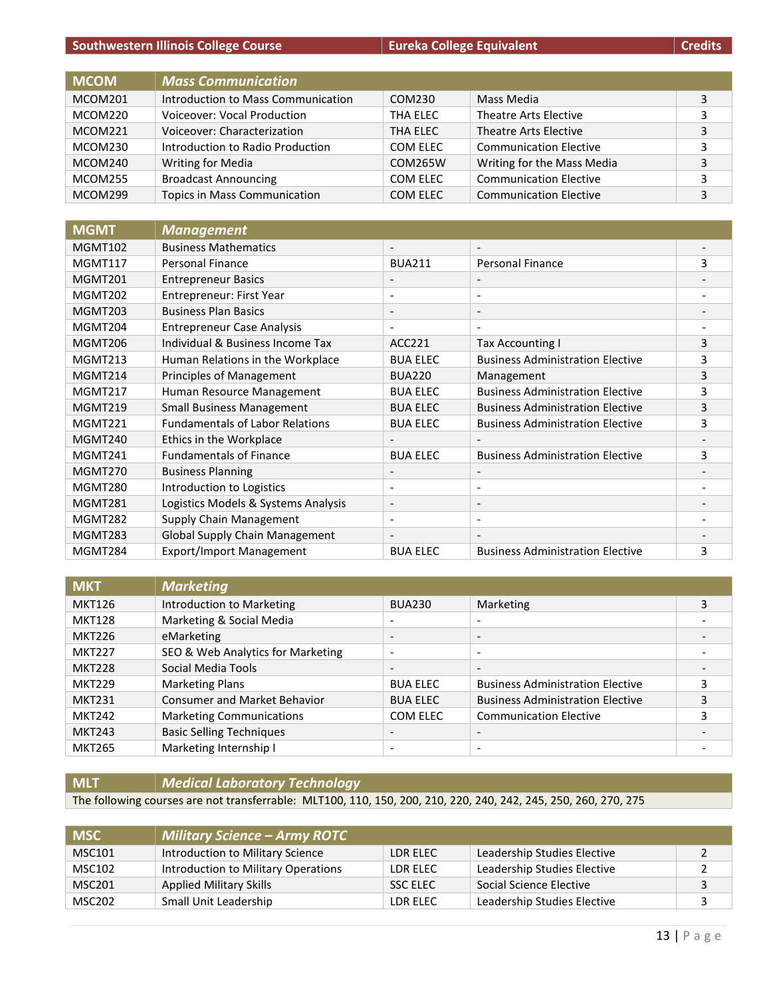| <b>Southwestern Illinois College Course</b> |  |  |  |  |  |
|---------------------------------------------|--|--|--|--|--|
|---------------------------------------------|--|--|--|--|--|

**Eureka College Equivalent Credits Credits** 

| <b>MCOM</b> | <b>Mass Communication</b>           |          |                               |   |
|-------------|-------------------------------------|----------|-------------------------------|---|
| MCOM201     | Introduction to Mass Communication  | COM230   | Mass Media                    | 3 |
| MCOM220     | Voiceover: Vocal Production         | THA ELEC | Theatre Arts Elective         | 3 |
| MCOM221     | Voiceover: Characterization         | THA ELEC | Theatre Arts Elective         | 3 |
| MCOM230     | Introduction to Radio Production    | COM ELEC | <b>Communication Elective</b> | 3 |
| MCOM240     | <b>Writing for Media</b>            | COM265W  | Writing for the Mass Media    | 3 |
| MCOM255     | <b>Broadcast Announcing</b>         | COM ELEC | <b>Communication Elective</b> | 3 |
| MCOM299     | <b>Topics in Mass Communication</b> | COM ELEC | <b>Communication Elective</b> | 3 |

| <b>MGMT</b>    | <b>Management</b>                      |                          |                                         |   |
|----------------|----------------------------------------|--------------------------|-----------------------------------------|---|
| <b>MGMT102</b> | <b>Business Mathematics</b>            |                          |                                         |   |
| MGMT117        | <b>Personal Finance</b>                | <b>BUA211</b>            | <b>Personal Finance</b>                 | 3 |
| MGMT201        | <b>Entrepreneur Basics</b>             | $\overline{\phantom{a}}$ | $\qquad \qquad$                         |   |
| MGMT202        | Entrepreneur: First Year               | $\overline{\phantom{a}}$ | $\overline{\phantom{a}}$                |   |
| MGMT203        | <b>Business Plan Basics</b>            | $\overline{\phantom{a}}$ | $\overline{\phantom{a}}$                |   |
| MGMT204        | <b>Entrepreneur Case Analysis</b>      | $\overline{\phantom{a}}$ | $\overline{\phantom{0}}$                |   |
| MGMT206        | Individual & Business Income Tax       | ACC221                   | <b>Tax Accounting I</b>                 | 3 |
| MGMT213        | Human Relations in the Workplace       | <b>BUA ELEC</b>          | <b>Business Administration Elective</b> | 3 |
| MGMT214        | <b>Principles of Management</b>        | <b>BUA220</b>            | Management                              | 3 |
| MGMT217        | Human Resource Management              | <b>BUA ELEC</b>          | <b>Business Administration Elective</b> | 3 |
| MGMT219        | <b>Small Business Management</b>       | <b>BUA ELEC</b>          | <b>Business Administration Elective</b> | 3 |
| MGMT221        | <b>Fundamentals of Labor Relations</b> | <b>BUA ELEC</b>          | <b>Business Administration Elective</b> | 3 |
| MGMT240        | Ethics in the Workplace                | $\overline{\phantom{a}}$ |                                         |   |
| MGMT241        | <b>Fundamentals of Finance</b>         | <b>BUA ELEC</b>          | <b>Business Administration Elective</b> | 3 |
| MGMT270        | <b>Business Planning</b>               | $\overline{\phantom{a}}$ | $\overline{\phantom{0}}$                |   |
| MGMT280        | Introduction to Logistics              | $\overline{\phantom{a}}$ | $\qquad \qquad \blacksquare$            |   |
| MGMT281        | Logistics Models & Systems Analysis    | $\overline{\phantom{a}}$ | $\overline{\phantom{a}}$                |   |
| MGMT282        | Supply Chain Management                | $\overline{\phantom{a}}$ | $\overline{\phantom{a}}$                |   |
| MGMT283        | Global Supply Chain Management         | $\overline{\phantom{a}}$ |                                         |   |
| MGMT284        | <b>Export/Import Management</b>        | <b>BUA ELEC</b>          | <b>Business Administration Elective</b> | 3 |

| <b>MKT</b>    | <b>Marketing</b>                    |                          |                                         |                          |
|---------------|-------------------------------------|--------------------------|-----------------------------------------|--------------------------|
| <b>MKT126</b> | <b>Introduction to Marketing</b>    | <b>BUA230</b>            | Marketing                               | 3                        |
| <b>MKT128</b> | Marketing & Social Media            | $\overline{\phantom{a}}$ | $\overline{\phantom{0}}$                |                          |
| <b>MKT226</b> | eMarketing                          | $\overline{\phantom{0}}$ | $\overline{\phantom{0}}$                |                          |
| <b>MKT227</b> | SEO & Web Analytics for Marketing   | $\overline{\phantom{a}}$ | $\overline{\phantom{a}}$                | $\overline{\phantom{0}}$ |
| <b>MKT228</b> | Social Media Tools                  | $\overline{\phantom{0}}$ | $\overline{\phantom{a}}$                |                          |
| <b>MKT229</b> | <b>Marketing Plans</b>              | <b>BUA ELEC</b>          | <b>Business Administration Elective</b> |                          |
| <b>MKT231</b> | <b>Consumer and Market Behavior</b> | <b>BUA ELEC</b>          | <b>Business Administration Elective</b> |                          |
| <b>MKT242</b> | <b>Marketing Communications</b>     | COM ELEC                 | <b>Communication Elective</b>           |                          |
| <b>MKT243</b> | <b>Basic Selling Techniques</b>     | $\overline{\phantom{a}}$ | $\overline{\phantom{0}}$                |                          |
| <b>MKT265</b> | Marketing Internship I              | $\overline{\phantom{a}}$ | $\overline{\phantom{a}}$                | -                        |

**MLT** *Medical Laboratory Technology*

The following courses are not transferrable: MLT100, 110, 150, 200, 210, 220, 240, 242, 245, 250, 260, 270, 275

| <b>MSC</b> | <b>Military Science - Army ROTC</b> |          |                             |  |
|------------|-------------------------------------|----------|-----------------------------|--|
| MSC101     | Introduction to Military Science    | LDR ELEC | Leadership Studies Elective |  |
| MSC102     | Introduction to Military Operations | LDR ELEC | Leadership Studies Elective |  |
| MSC201     | <b>Applied Military Skills</b>      | SSC ELEC | Social Science Elective     |  |
| MSC202     | Small Unit Leadership               | LDR ELEC | Leadership Studies Elective |  |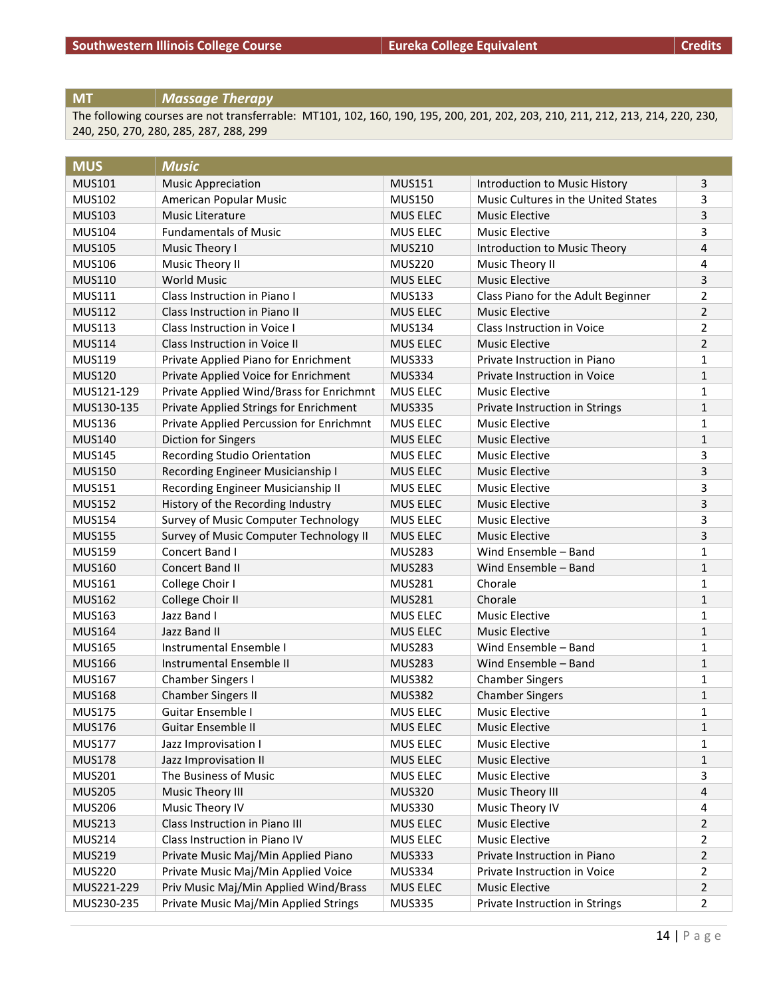## **MT** *Massage Therapy*

The following courses are not transferrable: MT101, 102, 160, 190, 195, 200, 201, 202, 203, 210, 211, 212, 213, 214, 220, 230, 240, 250, 270, 280, 285, 287, 288, 299

| <b>MUS</b>    | <b>Music</b>                             |                 |                                     |                |
|---------------|------------------------------------------|-----------------|-------------------------------------|----------------|
| <b>MUS101</b> | <b>Music Appreciation</b>                | <b>MUS151</b>   | Introduction to Music History       | 3              |
| <b>MUS102</b> | American Popular Music                   | <b>MUS150</b>   | Music Cultures in the United States | 3              |
| <b>MUS103</b> | Music Literature                         | <b>MUS ELEC</b> | <b>Music Elective</b>               | 3              |
| <b>MUS104</b> | <b>Fundamentals of Music</b>             | <b>MUS ELEC</b> | <b>Music Elective</b>               | 3              |
| <b>MUS105</b> | Music Theory I                           | <b>MUS210</b>   | Introduction to Music Theory        | 4              |
| <b>MUS106</b> | Music Theory II                          | <b>MUS220</b>   | Music Theory II                     | 4              |
| <b>MUS110</b> | <b>World Music</b>                       | <b>MUS ELEC</b> | <b>Music Elective</b>               | 3              |
| <b>MUS111</b> | Class Instruction in Piano I             | <b>MUS133</b>   | Class Piano for the Adult Beginner  | 2              |
| <b>MUS112</b> | Class Instruction in Piano II            | <b>MUS ELEC</b> | <b>Music Elective</b>               | $\overline{2}$ |
| <b>MUS113</b> | Class Instruction in Voice I             | <b>MUS134</b>   | Class Instruction in Voice          | 2              |
| <b>MUS114</b> | Class Instruction in Voice II            | <b>MUS ELEC</b> | <b>Music Elective</b>               | $\overline{2}$ |
| <b>MUS119</b> | Private Applied Piano for Enrichment     | <b>MUS333</b>   | Private Instruction in Piano        | 1              |
| <b>MUS120</b> | Private Applied Voice for Enrichment     | <b>MUS334</b>   | Private Instruction in Voice        | $\mathbf{1}$   |
| MUS121-129    | Private Applied Wind/Brass for Enrichmnt | MUS ELEC        | <b>Music Elective</b>               | 1              |
| MUS130-135    | Private Applied Strings for Enrichment   | <b>MUS335</b>   | Private Instruction in Strings      | $\mathbf{1}$   |
| <b>MUS136</b> | Private Applied Percussion for Enrichmnt | <b>MUS ELEC</b> | <b>Music Elective</b>               | 1              |
| <b>MUS140</b> | Diction for Singers                      | <b>MUS ELEC</b> | <b>Music Elective</b>               | $\mathbf{1}$   |
| <b>MUS145</b> | Recording Studio Orientation             | MUS ELEC        | <b>Music Elective</b>               | 3              |
| <b>MUS150</b> | Recording Engineer Musicianship I        | <b>MUS ELEC</b> | <b>Music Elective</b>               | 3              |
| <b>MUS151</b> | Recording Engineer Musicianship II       | <b>MUS ELEC</b> | <b>Music Elective</b>               | 3              |
| <b>MUS152</b> | History of the Recording Industry        | <b>MUS ELEC</b> | <b>Music Elective</b>               | 3              |
| <b>MUS154</b> | Survey of Music Computer Technology      | <b>MUS ELEC</b> | <b>Music Elective</b>               | 3              |
| <b>MUS155</b> | Survey of Music Computer Technology II   | <b>MUS ELEC</b> | <b>Music Elective</b>               | 3              |
| <b>MUS159</b> | Concert Band I                           | <b>MUS283</b>   | Wind Ensemble - Band                | 1              |
| <b>MUS160</b> | Concert Band II                          | <b>MUS283</b>   | Wind Ensemble - Band                | 1              |
| <b>MUS161</b> | College Choir I                          | <b>MUS281</b>   | Chorale                             | 1              |
| <b>MUS162</b> | College Choir II                         | <b>MUS281</b>   | Chorale                             | 1              |
| <b>MUS163</b> | Jazz Band I                              | <b>MUS ELEC</b> | <b>Music Elective</b>               | 1              |
| <b>MUS164</b> | Jazz Band II                             | <b>MUS ELEC</b> | <b>Music Elective</b>               | 1              |
| <b>MUS165</b> | Instrumental Ensemble I                  | <b>MUS283</b>   | Wind Ensemble - Band                | 1              |
| <b>MUS166</b> | Instrumental Ensemble II                 | <b>MUS283</b>   | Wind Ensemble - Band                | $\mathbf{1}$   |
| <b>MUS167</b> | Chamber Singers I                        | <b>MUS382</b>   | <b>Chamber Singers</b>              | 1              |
| <b>MUS168</b> | Chamber Singers II                       | <b>MUS382</b>   | <b>Chamber Singers</b>              | 1              |
| <b>MUS175</b> | Guitar Ensemble I                        | MUS ELEC        | <b>Music Elective</b>               | $\mathbf 1$    |
| <b>MUS176</b> | Guitar Ensemble II                       | MUS ELEC        | <b>Music Elective</b>               | 1              |
| <b>MUS177</b> | Jazz Improvisation I                     | MUS ELEC        | <b>Music Elective</b>               | 1              |
| <b>MUS178</b> | Jazz Improvisation II                    | MUS ELEC        | <b>Music Elective</b>               | $\mathbf{1}$   |
| <b>MUS201</b> | The Business of Music                    | MUS ELEC        | <b>Music Elective</b>               | 3              |
| <b>MUS205</b> | Music Theory III                         | <b>MUS320</b>   | Music Theory III                    | 4              |
| <b>MUS206</b> | Music Theory IV                          | <b>MUS330</b>   | Music Theory IV                     | 4              |
| <b>MUS213</b> | Class Instruction in Piano III           | MUS ELEC        | <b>Music Elective</b>               | $\overline{2}$ |
| <b>MUS214</b> | Class Instruction in Piano IV            | MUS ELEC        | <b>Music Elective</b>               | 2              |
| <b>MUS219</b> | Private Music Maj/Min Applied Piano      | <b>MUS333</b>   | Private Instruction in Piano        | 2              |
| <b>MUS220</b> | Private Music Maj/Min Applied Voice      | <b>MUS334</b>   | Private Instruction in Voice        | 2              |
| MUS221-229    | Priv Music Maj/Min Applied Wind/Brass    | MUS ELEC        | <b>Music Elective</b>               | 2              |
| MUS230-235    | Private Music Maj/Min Applied Strings    | <b>MUS335</b>   | Private Instruction in Strings      | $\overline{2}$ |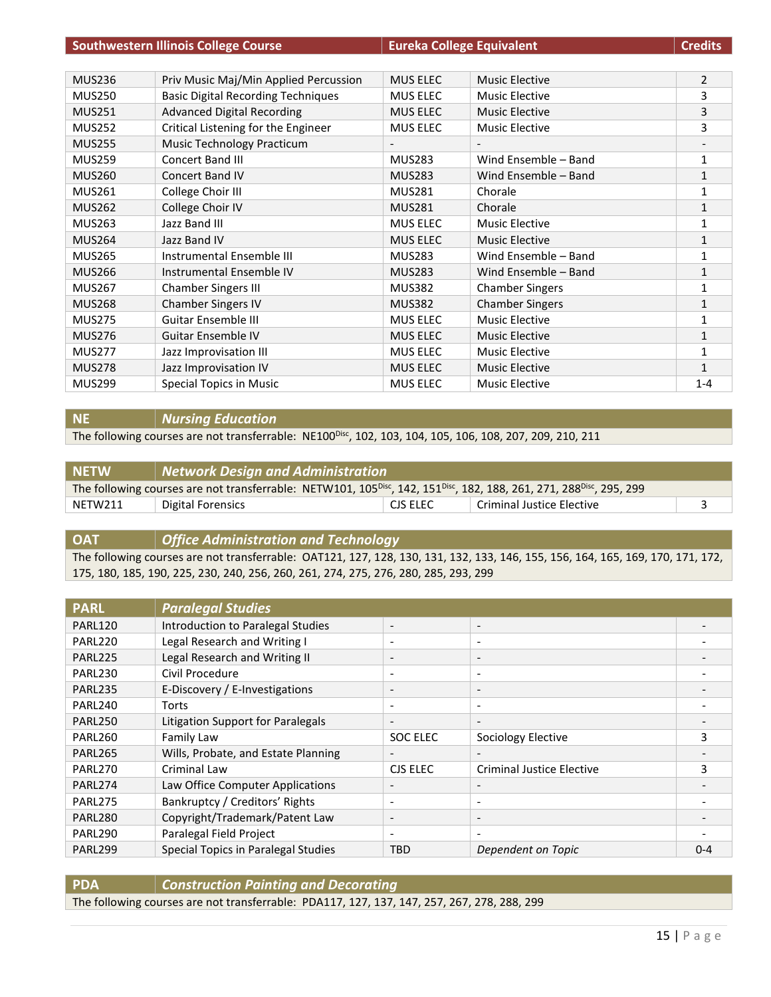|               | <b>Southwestern Illinois College Course</b><br><b>Eureka College Equivalent</b> |                   |                              | <b>Credits</b> |
|---------------|---------------------------------------------------------------------------------|-------------------|------------------------------|----------------|
|               |                                                                                 |                   |                              |                |
| <b>MUS236</b> | Priv Music Maj/Min Applied Percussion                                           | <b>MUS ELEC</b>   | <b>Music Elective</b>        | $\overline{2}$ |
| <b>MUS250</b> | <b>Basic Digital Recording Techniques</b>                                       | MUS ELEC          | Music Elective               | 3              |
| <b>MUS251</b> | <b>Advanced Digital Recording</b>                                               | <b>MUS ELEC</b>   | <b>Music Elective</b>        | 3              |
| <b>MUS252</b> | Critical Listening for the Engineer                                             | <b>MUS ELEC</b>   | <b>Music Elective</b>        | 3              |
| <b>MUS255</b> | Music Technology Practicum                                                      | $\qquad \qquad -$ | $\qquad \qquad \blacksquare$ |                |
| <b>MUS259</b> | Concert Band III                                                                | <b>MUS283</b>     | Wind Ensemble - Band         | 1              |
| <b>MUS260</b> | <b>Concert Band IV</b>                                                          | <b>MUS283</b>     | Wind Ensemble - Band         | $\mathbf{1}$   |
| <b>MUS261</b> | College Choir III                                                               | <b>MUS281</b>     | Chorale                      | 1              |
| <b>MUS262</b> | College Choir IV                                                                | <b>MUS281</b>     | Chorale                      | $\mathbf{1}$   |
| <b>MUS263</b> | Jazz Band III                                                                   | <b>MUS ELEC</b>   | <b>Music Elective</b>        | $\mathbf{1}$   |
| <b>MUS264</b> | Jazz Band IV                                                                    | <b>MUS ELEC</b>   | <b>Music Elective</b>        | $\mathbf{1}$   |
| <b>MUS265</b> | Instrumental Ensemble III                                                       | <b>MUS283</b>     | Wind Ensemble - Band         | 1              |
| <b>MUS266</b> | Instrumental Ensemble IV                                                        | <b>MUS283</b>     | Wind Ensemble - Band         | 1              |
| <b>MUS267</b> | <b>Chamber Singers III</b>                                                      | <b>MUS382</b>     | <b>Chamber Singers</b>       | 1              |
| <b>MUS268</b> | <b>Chamber Singers IV</b>                                                       | <b>MUS382</b>     | <b>Chamber Singers</b>       | $\mathbf{1}$   |
| <b>MUS275</b> | Guitar Ensemble III                                                             | <b>MUS ELEC</b>   | <b>Music Elective</b>        | 1              |
| <b>MUS276</b> | <b>Guitar Ensemble IV</b>                                                       | MUS ELEC          | <b>Music Elective</b>        | $\mathbf{1}$   |
| <b>MUS277</b> | Jazz Improvisation III                                                          | <b>MUS ELEC</b>   | <b>Music Elective</b>        | 1              |
| <b>MUS278</b> | Jazz Improvisation IV                                                           | MUS ELEC          | <b>Music Elective</b>        | 1              |
| <b>MUS299</b> | <b>Special Topics in Music</b>                                                  | <b>MUS ELEC</b>   | <b>Music Elective</b>        | $1 - 4$        |

#### **NE** *Nursing Education*

The following courses are not transferrable: NE100<sup>Disc</sup>, 102, 103, 104, 105, 106, 108, 207, 209, 210, 211

| <b>NETW</b>                                                                                                                                               | $\parallel$ Network Design and Administration $\parallel$ |            |                           |  |
|-----------------------------------------------------------------------------------------------------------------------------------------------------------|-----------------------------------------------------------|------------|---------------------------|--|
| The following courses are not transferrable: NETW101, 105 <sup>Disc</sup> , 142, 151 <sup>Disc</sup> , 182, 188, 261, 271, 288 <sup>Disc</sup> , 295, 299 |                                                           |            |                           |  |
| NETW211                                                                                                                                                   | Digital Forensics                                         | . CJS ELEC | Criminal Justice Elective |  |

#### **OAT** *Office Administration and Technology*

The following courses are not transferrable: OAT121, 127, 128, 130, 131, 132, 133, 146, 155, 156, 164, 165, 169, 170, 171, 172, 175, 180, 185, 190, 225, 230, 240, 256, 260, 261, 274, 275, 276, 280, 285, 293, 299

| <b>PARL</b>         | <b>Paralegal Studies</b>            |                          |                                  |         |
|---------------------|-------------------------------------|--------------------------|----------------------------------|---------|
| PARL120             | Introduction to Paralegal Studies   | $\overline{\phantom{a}}$ | $\overline{\phantom{a}}$         |         |
| <b>PARL220</b>      | Legal Research and Writing I        | $\overline{\phantom{a}}$ | $\overline{\phantom{a}}$         |         |
| <b>PARL225</b>      | Legal Research and Writing II       | $\overline{\phantom{a}}$ | $\overline{\phantom{a}}$         |         |
| <b>PARL230</b>      | Civil Procedure                     | $\overline{\phantom{a}}$ | $\overline{\phantom{a}}$         |         |
| PARL235             | E-Discovery / E-Investigations      | $\overline{\phantom{a}}$ | $\overline{\phantom{a}}$         |         |
| <b>PARL240</b>      | Torts                               | $\overline{\phantom{a}}$ | $\overline{\phantom{a}}$         |         |
| PARL250             | Litigation Support for Paralegals   | $\overline{\phantom{a}}$ | $\overline{\phantom{a}}$         |         |
| <b>PARL260</b>      | Family Law                          | SOC ELEC                 | Sociology Elective               | 3       |
| PARL265             | Wills, Probate, and Estate Planning |                          |                                  |         |
| PARL270             | Criminal Law                        | <b>CJS ELEC</b>          | <b>Criminal Justice Elective</b> | 3       |
| PARL <sub>274</sub> | Law Office Computer Applications    | $\overline{\phantom{a}}$ | $\overline{\phantom{0}}$         |         |
| PARL275             | Bankruptcy / Creditors' Rights      | $\overline{\phantom{a}}$ | $\overline{\phantom{a}}$         |         |
| PARL280             | Copyright/Trademark/Patent Law      | $\overline{\phantom{a}}$ | $\overline{\phantom{0}}$         |         |
| <b>PARL290</b>      | Paralegal Field Project             | $\overline{\phantom{a}}$ | $\overline{\phantom{0}}$         |         |
| PARL299             | Special Topics in Paralegal Studies | TBD                      | Dependent on Topic               | $0 - 4$ |

**PDA** *Construction Painting and Decorating* The following courses are not transferrable: PDA117, 127, 137, 147, 257, 267, 278, 288, 299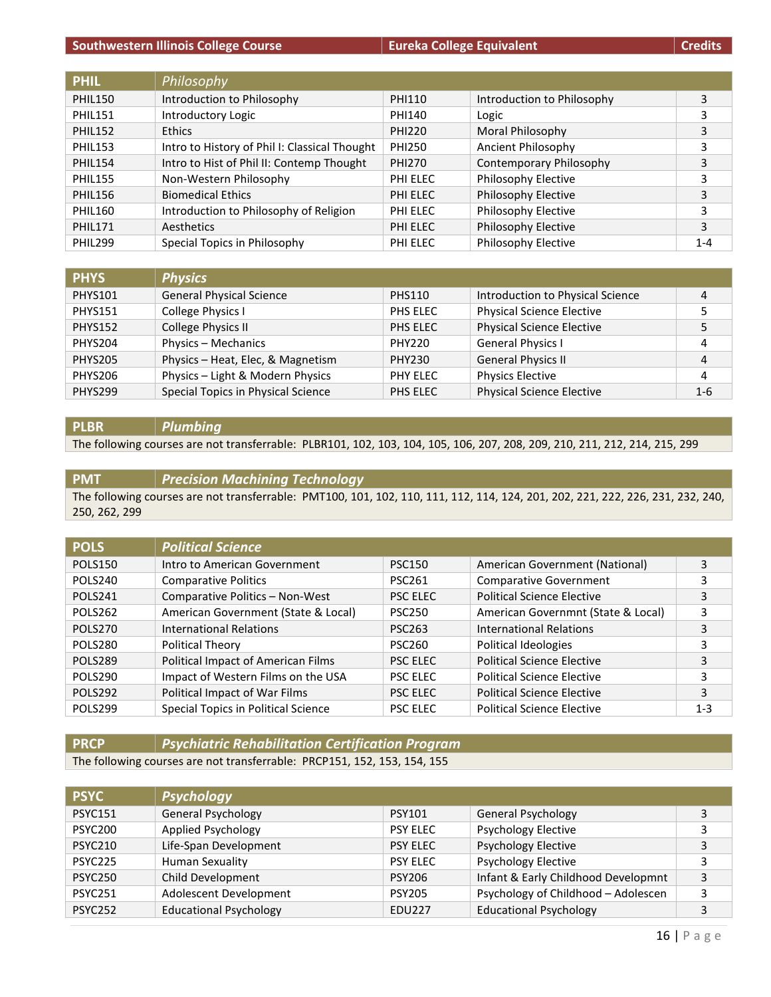#### **Southwestern Illinois College Course Eureka College Equivalent Eureka College Equivalent Credits**

| <b>PHIL</b>    | Philosophy                                    |               |                            |         |
|----------------|-----------------------------------------------|---------------|----------------------------|---------|
| <b>PHIL150</b> | Introduction to Philosophy                    | <b>PHI110</b> | Introduction to Philosophy | 3       |
| <b>PHIL151</b> | Introductory Logic                            | PHI140        | Logic                      | 3       |
| <b>PHIL152</b> | <b>Ethics</b>                                 | <b>PHI220</b> | Moral Philosophy           | 3       |
| <b>PHIL153</b> | Intro to History of Phil I: Classical Thought | <b>PHI250</b> | Ancient Philosophy         | 3       |
| <b>PHIL154</b> | Intro to Hist of Phil II: Contemp Thought     | <b>PHI270</b> | Contemporary Philosophy    | 3       |
| <b>PHIL155</b> | Non-Western Philosophy                        | PHI ELEC      | Philosophy Elective        | 3       |
| <b>PHIL156</b> | <b>Biomedical Ethics</b>                      | PHI ELEC      | Philosophy Elective        | 3       |
| <b>PHIL160</b> | Introduction to Philosophy of Religion        | PHI ELEC      | Philosophy Elective        | 3       |
| <b>PHIL171</b> | Aesthetics                                    | PHI ELEC      | Philosophy Elective        | 3       |
| <b>PHIL299</b> | Special Topics in Philosophy                  | PHI ELEC      | Philosophy Elective        | $1 - 4$ |

| <b>PHYS</b>    | <b>Physics</b>                     |               |                                  |         |
|----------------|------------------------------------|---------------|----------------------------------|---------|
| <b>PHYS101</b> | <b>General Physical Science</b>    | <b>PHS110</b> | Introduction to Physical Science |         |
| <b>PHYS151</b> | College Physics I                  | PHS ELEC      | <b>Physical Science Elective</b> |         |
| <b>PHYS152</b> | College Physics II                 | PHS ELEC      | <b>Physical Science Elective</b> |         |
| PHYS204        | Physics - Mechanics                | PHY220        | <b>General Physics I</b>         | 4       |
| PHYS205        | Physics - Heat, Elec, & Magnetism  | PHY230        | <b>General Physics II</b>        | 4       |
| PHYS206        | Physics - Light & Modern Physics   | PHY ELEC      | <b>Physics Elective</b>          | 4       |
| PHYS299        | Special Topics in Physical Science | PHS ELEC      | <b>Physical Science Elective</b> | $1 - 6$ |

#### **PLBR** *Plumbing*

The following courses are not transferrable: PLBR101, 102, 103, 104, 105, 106, 207, 208, 209, 210, 211, 212, 214, 215, 299

#### **PMT** *Precision Machining Technology* The following courses are not transferrable: PMT100, 101, 102, 110, 111, 112, 114, 124, 201, 202, 221, 222, 226, 231, 232, 240, 250, 262, 299

| <b>POLS</b>    | <b>Political Science</b>            |                 |                                    |         |
|----------------|-------------------------------------|-----------------|------------------------------------|---------|
| <b>POLS150</b> | Intro to American Government        | <b>PSC150</b>   | American Government (National)     | 3       |
| POLS240        | <b>Comparative Politics</b>         | <b>PSC261</b>   | <b>Comparative Government</b>      | 3       |
| POLS241        | Comparative Politics - Non-West     | <b>PSC ELEC</b> | <b>Political Science Elective</b>  | 3       |
| <b>POLS262</b> | American Government (State & Local) | <b>PSC250</b>   | American Governmnt (State & Local) | 3       |
| POLS270        | <b>International Relations</b>      | <b>PSC263</b>   | <b>International Relations</b>     | 3       |
| POLS280        | <b>Political Theory</b>             | <b>PSC260</b>   | Political Ideologies               | 3       |
| POLS289        | Political Impact of American Films  | <b>PSC FLEC</b> | <b>Political Science Elective</b>  | 3       |
| POLS290        | Impact of Western Films on the USA  | <b>PSC ELEC</b> | <b>Political Science Elective</b>  | 3       |
| <b>POLS292</b> | Political Impact of War Films       | <b>PSC ELEC</b> | <b>Political Science Elective</b>  | 3       |
| POLS299        | Special Topics in Political Science | <b>PSC ELEC</b> | <b>Political Science Elective</b>  | $1 - 3$ |

## **PRCP** *Psychiatric Rehabilitation Certification Program*

The following courses are not transferrable: PRCP151, 152, 153, 154, 155

| <b>PSYC</b>    | <b>Psychology</b>             |                 |                                     |   |
|----------------|-------------------------------|-----------------|-------------------------------------|---|
| <b>PSYC151</b> | <b>General Psychology</b>     | <b>PSY101</b>   | <b>General Psychology</b>           | 3 |
| <b>PSYC200</b> | Applied Psychology            | <b>PSY ELEC</b> | <b>Psychology Elective</b>          | 3 |
| <b>PSYC210</b> | Life-Span Development         | <b>PSY ELEC</b> | <b>Psychology Elective</b>          | 3 |
| PSYC225        | <b>Human Sexuality</b>        | <b>PSY ELEC</b> | <b>Psychology Elective</b>          | 3 |
| <b>PSYC250</b> | Child Development             | <b>PSY206</b>   | Infant & Early Childhood Developmnt | 3 |
| <b>PSYC251</b> | Adolescent Development        | <b>PSY205</b>   | Psychology of Childhood - Adolescen | 3 |
| <b>PSYC252</b> | <b>Educational Psychology</b> | <b>EDU227</b>   | <b>Educational Psychology</b>       | 3 |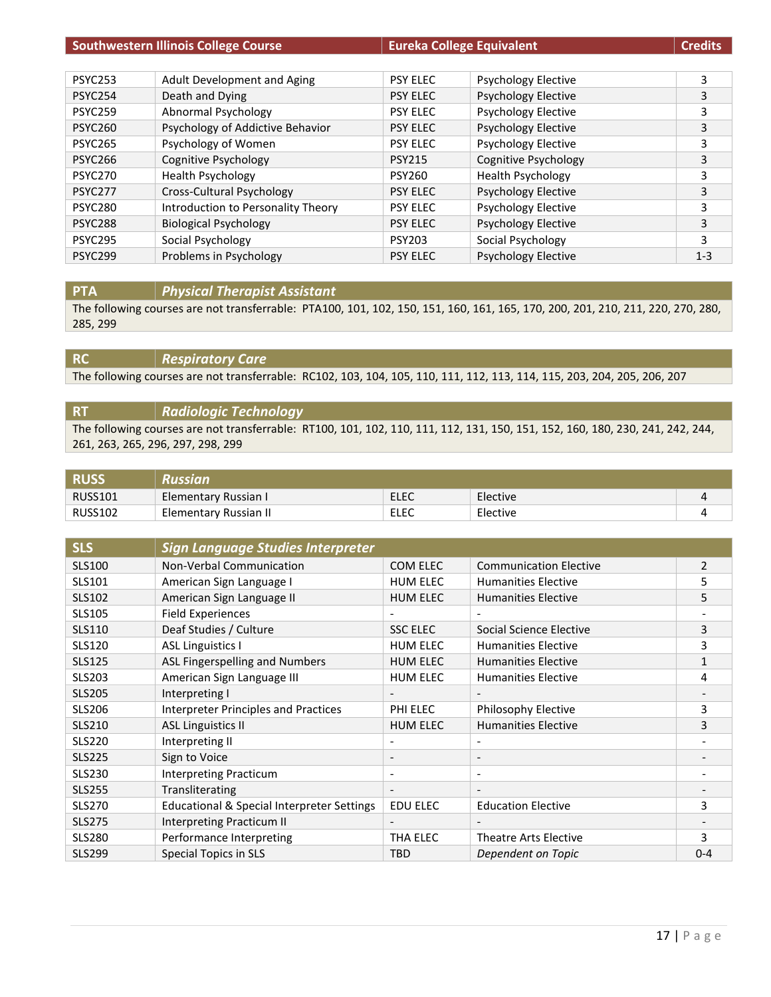| <b>Southwestern Illinois College Course</b> |                                    | <b>Eureka College Equivalent</b> |                            | <b>Credits</b> |
|---------------------------------------------|------------------------------------|----------------------------------|----------------------------|----------------|
|                                             |                                    |                                  |                            |                |
| <b>PSYC253</b>                              | Adult Development and Aging        | <b>PSY ELEC</b>                  | <b>Psychology Elective</b> | 3              |
| <b>PSYC254</b>                              | Death and Dying                    | <b>PSY ELEC</b>                  | <b>Psychology Elective</b> | 3              |
| <b>PSYC259</b>                              | Abnormal Psychology                | <b>PSY ELEC</b>                  | <b>Psychology Elective</b> | 3              |
| <b>PSYC260</b>                              | Psychology of Addictive Behavior   | <b>PSY ELEC</b>                  | <b>Psychology Elective</b> | 3              |
| <b>PSYC265</b>                              | Psychology of Women                | <b>PSY ELEC</b>                  | <b>Psychology Elective</b> | 3              |
| <b>PSYC266</b>                              | Cognitive Psychology               | <b>PSY215</b>                    | Cognitive Psychology       | 3              |
| <b>PSYC270</b>                              | <b>Health Psychology</b>           | <b>PSY260</b>                    | <b>Health Psychology</b>   | 3              |
| <b>PSYC277</b>                              | Cross-Cultural Psychology          | <b>PSY ELEC</b>                  | <b>Psychology Elective</b> | 3              |
| <b>PSYC280</b>                              | Introduction to Personality Theory | <b>PSY ELEC</b>                  | <b>Psychology Elective</b> | 3              |
| <b>PSYC288</b>                              | <b>Biological Psychology</b>       | <b>PSY ELEC</b>                  | <b>Psychology Elective</b> | 3              |
| <b>PSYC295</b>                              | Social Psychology                  | <b>PSY203</b>                    | Social Psychology          | 3              |
| <b>PSYC299</b>                              | Problems in Psychology             | <b>PSY ELEC</b>                  | <b>Psychology Elective</b> | $1 - 3$        |

**PTA** *Physical Therapist Assistant*

The following courses are not transferrable: PTA100, 101, 102, 150, 151, 160, 161, 165, 170, 200, 201, 210, 211, 220, 270, 280, 285, 299

**RC** *Respiratory Care*

The following courses are not transferrable: RC102, 103, 104, 105, 110, 111, 112, 113, 114, 115, 203, 204, 205, 206, 207

## **RT** *Radiologic Technology* The following courses are not transferrable: RT100, 101, 102, 110, 111, 112, 131, 150, 151, 152, 160, 180, 230, 241, 242, 244, 261, 263, 265, 296, 297, 298, 299

| <b>RUSS</b>    | Russian               |      |          |  |
|----------------|-----------------------|------|----------|--|
| <b>RUSS101</b> | Elementary Russian I  | ELEC | Elective |  |
| <b>RUSS102</b> | Elementary Russian II | ELEC | Elective |  |

| <b>SLS</b>    | <b>Sign Language Studies Interpreter</b>    |                          |                               |                |
|---------------|---------------------------------------------|--------------------------|-------------------------------|----------------|
| <b>SLS100</b> | <b>Non-Verbal Communication</b>             | COM ELEC                 | <b>Communication Elective</b> | $\overline{2}$ |
| SLS101        | American Sign Language I                    | <b>HUM ELEC</b>          | <b>Humanities Elective</b>    | 5              |
| <b>SLS102</b> | American Sign Language II                   | <b>HUM ELEC</b>          | <b>Humanities Elective</b>    | 5              |
| <b>SLS105</b> | <b>Field Experiences</b>                    |                          |                               |                |
| <b>SLS110</b> | Deaf Studies / Culture                      | <b>SSC ELEC</b>          | Social Science Elective       | 3              |
| <b>SLS120</b> | <b>ASL Linguistics I</b>                    | <b>HUM ELEC</b>          | <b>Humanities Elective</b>    | 3              |
| <b>SLS125</b> | ASL Fingerspelling and Numbers              | <b>HUM ELEC</b>          | <b>Humanities Elective</b>    | 1              |
| <b>SLS203</b> | American Sign Language III                  | <b>HUM ELEC</b>          | <b>Humanities Elective</b>    | 4              |
| <b>SLS205</b> | Interpreting I                              | $\overline{\phantom{a}}$ |                               |                |
| <b>SLS206</b> | <b>Interpreter Principles and Practices</b> | PHI ELEC                 | Philosophy Elective           | 3              |
| <b>SLS210</b> | <b>ASL Linguistics II</b>                   | <b>HUM ELEC</b>          | <b>Humanities Elective</b>    | 3              |
| <b>SLS220</b> | Interpreting II                             | $\overline{\phantom{a}}$ |                               |                |
| <b>SLS225</b> | Sign to Voice                               | $\overline{\phantom{a}}$ | $\overline{\phantom{a}}$      |                |
| <b>SLS230</b> | <b>Interpreting Practicum</b>               | $\overline{\phantom{a}}$ | $\overline{\phantom{a}}$      |                |
| <b>SLS255</b> | Transliterating                             | $\overline{\phantom{a}}$ | $\overline{\phantom{a}}$      |                |
| <b>SLS270</b> | Educational & Special Interpreter Settings  | <b>EDU ELEC</b>          | <b>Education Elective</b>     | 3              |
| <b>SLS275</b> | Interpreting Practicum II                   |                          |                               |                |
| <b>SLS280</b> | Performance Interpreting                    | THA ELEC                 | Theatre Arts Elective         | 3              |
| <b>SLS299</b> | Special Topics in SLS                       | <b>TBD</b>               | Dependent on Topic            | $0 - 4$        |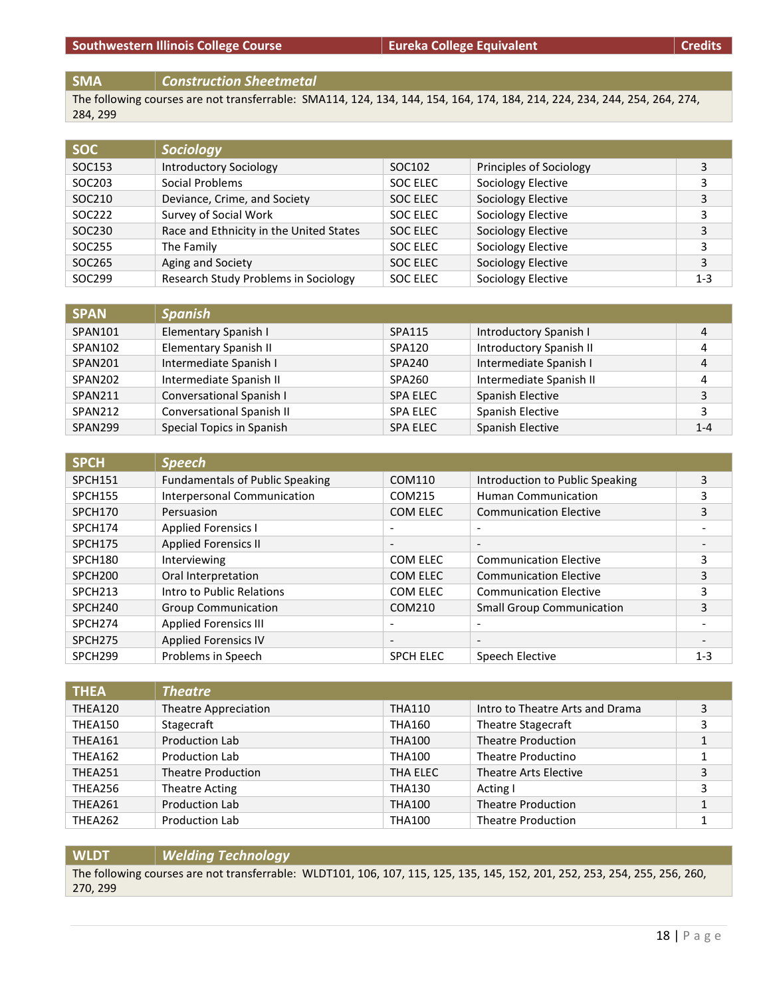The following courses are not transferrable: SMA114, 124, 134, 144, 154, 164, 174, 184, 214, 224, 234, 244, 254, 264, 274, 284, 299

| <b>SOC</b> | <b>Sociology</b>                        |          |                         |         |
|------------|-----------------------------------------|----------|-------------------------|---------|
| SOC153     | Introductory Sociology                  | SOC102   | Principles of Sociology |         |
| SOC203     | Social Problems                         | SOC ELEC | Sociology Elective      |         |
| SOC210     | Deviance, Crime, and Society            | SOC ELEC | Sociology Elective      | 3       |
| SOC222     | Survey of Social Work                   | SOC ELEC | Sociology Elective      | 3       |
| SOC230     | Race and Ethnicity in the United States | SOC ELEC | Sociology Elective      | 3       |
| SOC255     | The Family                              | SOC ELEC | Sociology Elective      | 3       |
| SOC265     | Aging and Society                       | SOC ELEC | Sociology Elective      | 3       |
| SOC299     | Research Study Problems in Sociology    | SOC ELEC | Sociology Elective      | $1 - 3$ |

| <b>SPAN</b> | <b>Spanish</b>            |                 |                         |         |
|-------------|---------------------------|-----------------|-------------------------|---------|
| SPAN101     | Elementary Spanish I      | SPA115          | Introductory Spanish I  | 4       |
| SPAN102     | Elementary Spanish II     | SPA120          | Introductory Spanish II | 4       |
| SPAN201     | Intermediate Spanish I    | <b>SPA240</b>   | Intermediate Spanish I  | 4       |
| SPAN202     | Intermediate Spanish II   | SPA260          | Intermediate Spanish II | 4       |
| SPAN211     | Conversational Spanish I  | <b>SPA ELEC</b> | Spanish Elective        | 3       |
| SPAN212     | Conversational Spanish II | <b>SPA ELEC</b> | Spanish Elective        | 3       |
| SPAN299     | Special Topics in Spanish | <b>SPA ELEC</b> | Spanish Elective        | $1 - 4$ |

| <b>SPCH</b>         | <b>Speech</b>                          |                          |                                  |         |
|---------------------|----------------------------------------|--------------------------|----------------------------------|---------|
| SPCH151             | <b>Fundamentals of Public Speaking</b> | COM110                   | Introduction to Public Speaking  | 3       |
| <b>SPCH155</b>      | <b>Interpersonal Communication</b>     | COM215                   | <b>Human Communication</b>       | 3       |
| SPCH170             | Persuasion                             | COM ELEC                 | <b>Communication Elective</b>    | 3       |
| SPCH174             | <b>Applied Forensics I</b>             | $\overline{\phantom{a}}$ | $\overline{\phantom{0}}$         |         |
| <b>SPCH175</b>      | <b>Applied Forensics II</b>            | $\overline{\phantom{a}}$ | $\overline{\phantom{a}}$         | -       |
| SPCH180             | Interviewing                           | COM ELEC                 | <b>Communication Elective</b>    | 3       |
| SPCH <sub>200</sub> | Oral Interpretation                    | COM ELEC                 | <b>Communication Elective</b>    | 3       |
| SPCH <sub>213</sub> | Intro to Public Relations              | COM ELEC                 | <b>Communication Elective</b>    |         |
| SPCH <sub>240</sub> | <b>Group Communication</b>             | COM210                   | <b>Small Group Communication</b> | 3       |
| SPCH <sub>274</sub> | <b>Applied Forensics III</b>           | $\overline{\phantom{a}}$ |                                  |         |
| SPCH <sub>275</sub> | <b>Applied Forensics IV</b>            | $\overline{\phantom{a}}$ | $\overline{\phantom{0}}$         |         |
| SPCH <sub>299</sub> | Problems in Speech                     | <b>SPCH ELEC</b>         | Speech Elective                  | $1 - 3$ |

| <b>THEA</b>    | <b>Theatre</b>            |               |                                 |   |
|----------------|---------------------------|---------------|---------------------------------|---|
| THEA120        | Theatre Appreciation      | <b>THA110</b> | Intro to Theatre Arts and Drama | 3 |
| THEA150        | Stagecraft                | <b>THA160</b> | Theatre Stagecraft              |   |
| THEA161        | Production Lab            | <b>THA100</b> | <b>Theatre Production</b>       |   |
| <b>THEA162</b> | <b>Production Lab</b>     | <b>THA100</b> | Theatre Productino              |   |
| THEA251        | <b>Theatre Production</b> | THA ELEC      | Theatre Arts Elective           | 3 |
| THEA256        | Theatre Acting            | <b>THA130</b> | Acting I                        | 3 |
| THEA261        | Production Lab            | <b>THA100</b> | <b>Theatre Production</b>       |   |
| <b>THEA262</b> | Production Lab            | <b>THA100</b> | <b>Theatre Production</b>       |   |

**WLDT** *Welding Technology* The following courses are not transferrable: WLDT101, 106, 107, 115, 125, 135, 145, 152, 201, 252, 253, 254, 255, 256, 260, 270, 299

**SMA** *Construction Sheetmetal*